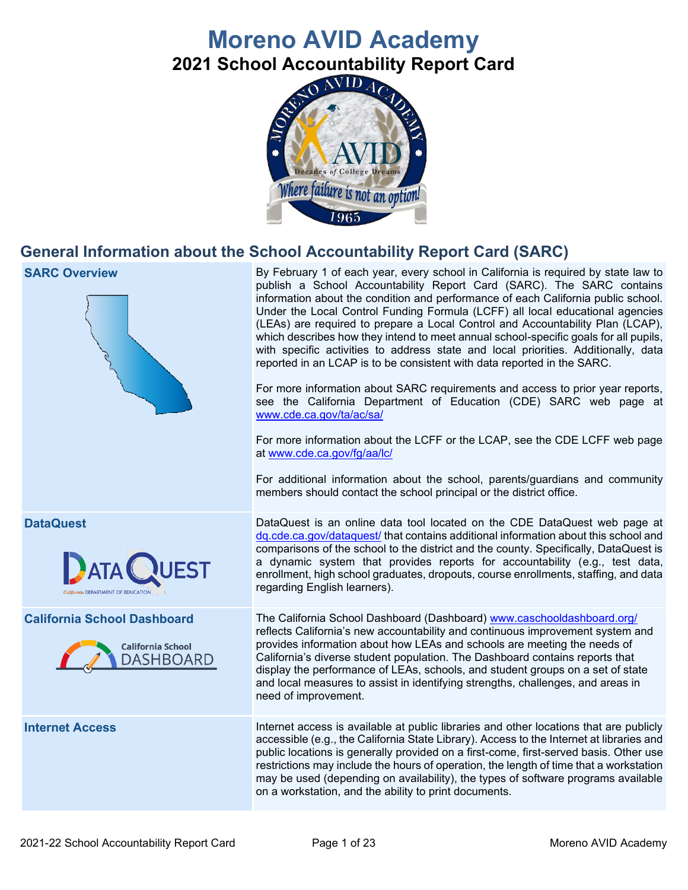# **Moreno AVID Academy**

**2021 School Accountability Report Card**



# **General Information about the School Accountability Report Card (SARC)**

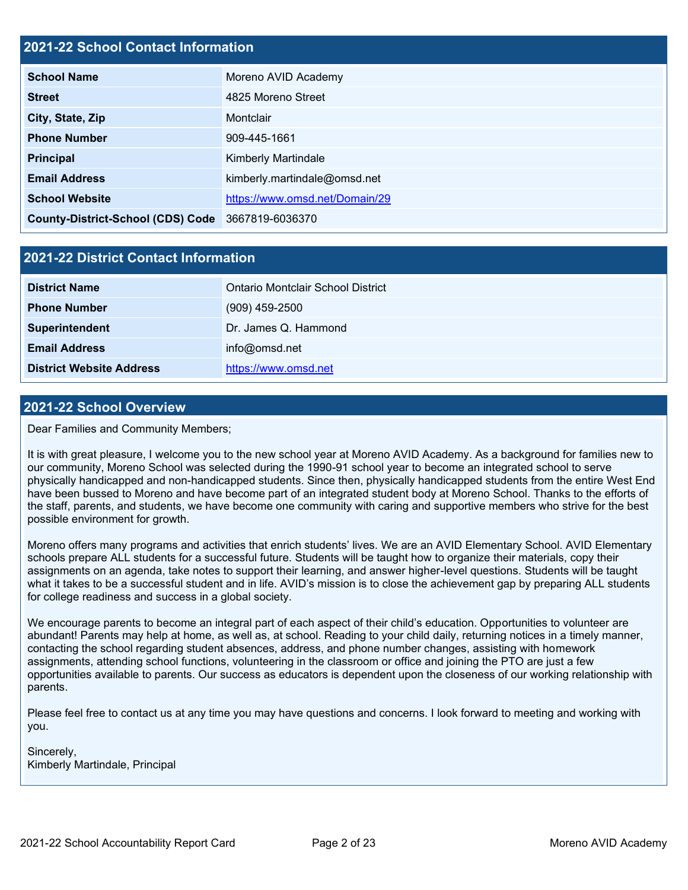#### **2021-22 School Contact Information**

| <b>School Name</b>                                | Moreno AVID Academy            |
|---------------------------------------------------|--------------------------------|
| <b>Street</b>                                     | 4825 Moreno Street             |
| City, State, Zip                                  | Montclair                      |
| <b>Phone Number</b>                               | 909-445-1661                   |
| <b>Principal</b>                                  | <b>Kimberly Martindale</b>     |
| <b>Email Address</b>                              | kimberly.martindale@omsd.net   |
| <b>School Website</b>                             | https://www.omsd.net/Domain/29 |
| County-District-School (CDS) Code 3667819-6036370 |                                |

#### **2021-22 District Contact Information**

| <b>District Name</b>            | Ontario Montclair School District |
|---------------------------------|-----------------------------------|
| <b>Phone Number</b>             | $(909)$ 459-2500                  |
| Superintendent                  | Dr. James Q. Hammond              |
| <b>Email Address</b>            | info@omsd.net                     |
| <b>District Website Address</b> | https://www.omsd.net              |

#### **2021-22 School Overview**

Dear Families and Community Members;

It is with great pleasure, I welcome you to the new school year at Moreno AVID Academy. As a background for families new to our community, Moreno School was selected during the 1990-91 school year to become an integrated school to serve physically handicapped and non-handicapped students. Since then, physically handicapped students from the entire West End have been bussed to Moreno and have become part of an integrated student body at Moreno School. Thanks to the efforts of the staff, parents, and students, we have become one community with caring and supportive members who strive for the best possible environment for growth.

Moreno offers many programs and activities that enrich students' lives. We are an AVID Elementary School. AVID Elementary schools prepare ALL students for a successful future. Students will be taught how to organize their materials, copy their assignments on an agenda, take notes to support their learning, and answer higher-level questions. Students will be taught what it takes to be a successful student and in life. AVID's mission is to close the achievement gap by preparing ALL students for college readiness and success in a global society.

We encourage parents to become an integral part of each aspect of their child's education. Opportunities to volunteer are abundant! Parents may help at home, as well as, at school. Reading to your child daily, returning notices in a timely manner, contacting the school regarding student absences, address, and phone number changes, assisting with homework assignments, attending school functions, volunteering in the classroom or office and joining the PTO are just a few opportunities available to parents. Our success as educators is dependent upon the closeness of our working relationship with parents.

Please feel free to contact us at any time you may have questions and concerns. I look forward to meeting and working with you.

Sincerely, Kimberly Martindale, Principal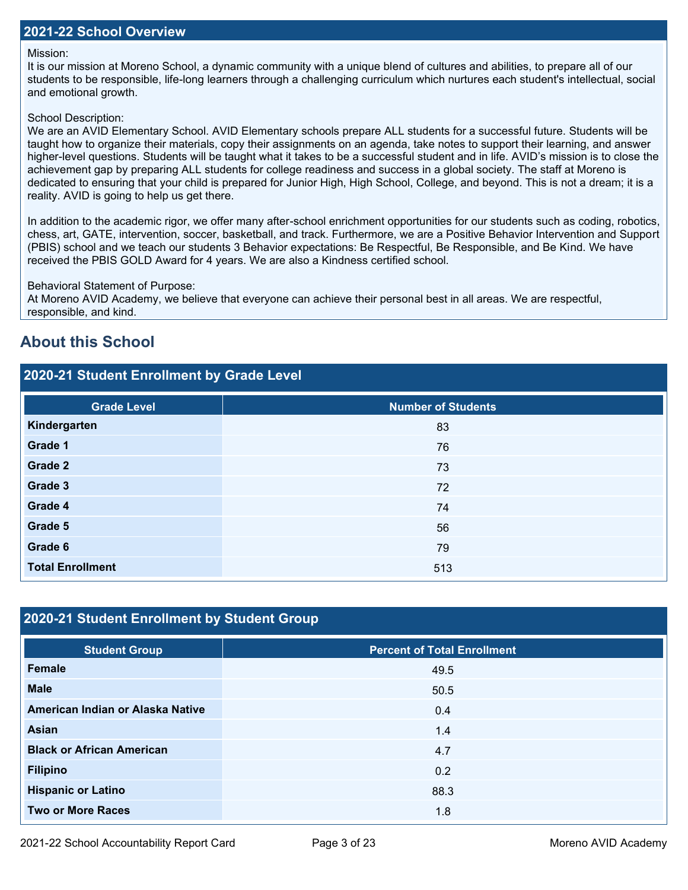#### Mission:

It is our mission at Moreno School, a dynamic community with a unique blend of cultures and abilities, to prepare all of our students to be responsible, life-long learners through a challenging curriculum which nurtures each student's intellectual, social and emotional growth.

#### School Description:

We are an AVID Elementary School. AVID Elementary schools prepare ALL students for a successful future. Students will be taught how to organize their materials, copy their assignments on an agenda, take notes to support their learning, and answer higher-level questions. Students will be taught what it takes to be a successful student and in life. AVID's mission is to close the achievement gap by preparing ALL students for college readiness and success in a global society. The staff at Moreno is dedicated to ensuring that your child is prepared for Junior High, High School, College, and beyond. This is not a dream; it is a reality. AVID is going to help us get there.

In addition to the academic rigor, we offer many after-school enrichment opportunities for our students such as coding, robotics, chess, art, GATE, intervention, soccer, basketball, and track. Furthermore, we are a Positive Behavior Intervention and Support (PBIS) school and we teach our students 3 Behavior expectations: Be Respectful, Be Responsible, and Be Kind. We have received the PBIS GOLD Award for 4 years. We are also a Kindness certified school.

Behavioral Statement of Purpose:

At Moreno AVID Academy, we believe that everyone can achieve their personal best in all areas. We are respectful, responsible, and kind.

## **About this School**

#### **2020-21 Student Enrollment by Grade Level**

| <b>Grade Level</b>      | <b>Number of Students</b> |
|-------------------------|---------------------------|
| Kindergarten            | 83                        |
| Grade 1                 | 76                        |
| Grade 2                 | 73                        |
| Grade 3                 | 72                        |
| Grade 4                 | 74                        |
| Grade 5                 | 56                        |
| Grade 6                 | 79                        |
| <b>Total Enrollment</b> | 513                       |

#### **2020-21 Student Enrollment by Student Group**

| <b>Student Group</b>             | <b>Percent of Total Enrollment</b> |
|----------------------------------|------------------------------------|
| Female                           | 49.5                               |
| <b>Male</b>                      | 50.5                               |
| American Indian or Alaska Native | 0.4                                |
| <b>Asian</b>                     | 1.4                                |
| <b>Black or African American</b> | 4.7                                |
| <b>Filipino</b>                  | 0.2                                |
| <b>Hispanic or Latino</b>        | 88.3                               |
| <b>Two or More Races</b>         | 1.8                                |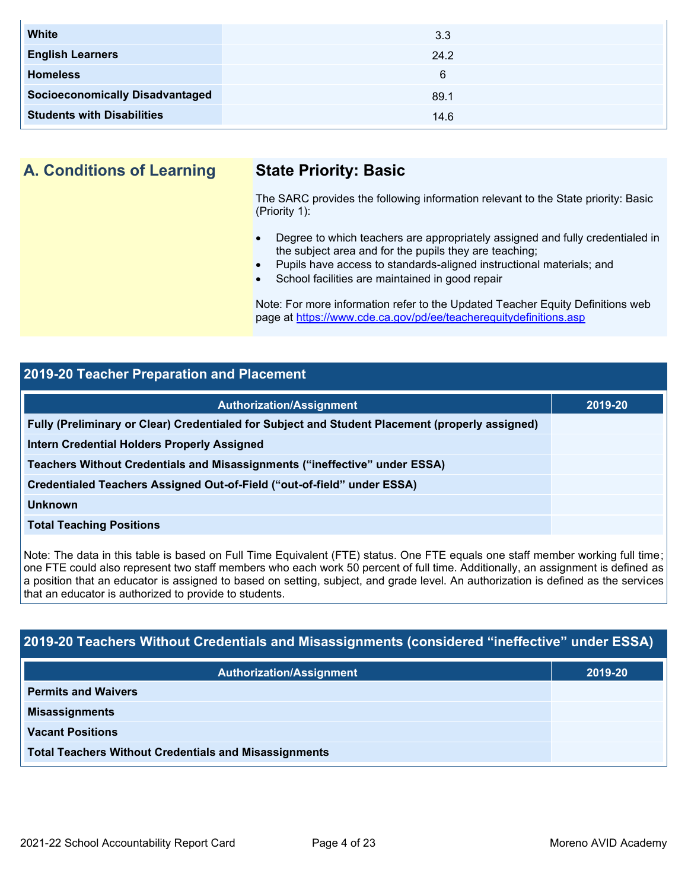| <b>White</b>                           | 3.3  |
|----------------------------------------|------|
| <b>English Learners</b>                | 24.2 |
| <b>Homeless</b>                        | 6    |
| <b>Socioeconomically Disadvantaged</b> | 89.1 |
| <b>Students with Disabilities</b>      | 14.6 |

**A. Conditions of Learning State Priority: Basic**

The SARC provides the following information relevant to the State priority: Basic (Priority 1):

- Degree to which teachers are appropriately assigned and fully credentialed in the subject area and for the pupils they are teaching;
- Pupils have access to standards-aligned instructional materials; and
- School facilities are maintained in good repair

Note: For more information refer to the Updated Teacher Equity Definitions web page at<https://www.cde.ca.gov/pd/ee/teacherequitydefinitions.asp>

#### **2019-20 Teacher Preparation and Placement**

| <b>Authorization/Assignment</b>                                                                 | 2019-20 |
|-------------------------------------------------------------------------------------------------|---------|
| Fully (Preliminary or Clear) Credentialed for Subject and Student Placement (properly assigned) |         |
| <b>Intern Credential Holders Properly Assigned</b>                                              |         |
| Teachers Without Credentials and Misassignments ("ineffective" under ESSA)                      |         |
| Credentialed Teachers Assigned Out-of-Field ("out-of-field" under ESSA)                         |         |
| Unknown                                                                                         |         |
| <b>Total Teaching Positions</b>                                                                 |         |

Note: The data in this table is based on Full Time Equivalent (FTE) status. One FTE equals one staff member working full time; one FTE could also represent two staff members who each work 50 percent of full time. Additionally, an assignment is defined as a position that an educator is assigned to based on setting, subject, and grade level. An authorization is defined as the services that an educator is authorized to provide to students.

### **2019-20 Teachers Without Credentials and Misassignments (considered "ineffective" under ESSA)**

| <b>Authorization/Assignment</b>                              | 2019-20 |
|--------------------------------------------------------------|---------|
| <b>Permits and Waivers</b>                                   |         |
| <b>Misassignments</b>                                        |         |
| <b>Vacant Positions</b>                                      |         |
| <b>Total Teachers Without Credentials and Misassignments</b> |         |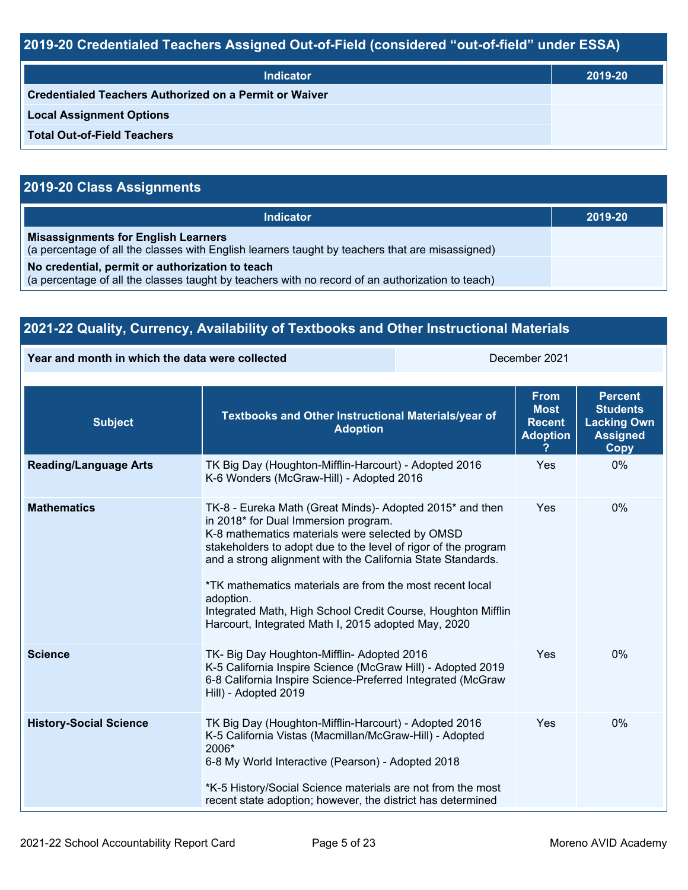# **2019-20 Credentialed Teachers Assigned Out-of-Field (considered "out-of-field" under ESSA)**

| <b>Indicator</b>                                       | 2019-20 |
|--------------------------------------------------------|---------|
| Credentialed Teachers Authorized on a Permit or Waiver |         |
| <b>Local Assignment Options</b>                        |         |
| <b>Total Out-of-Field Teachers</b>                     |         |

# **2019-20 Class Assignments**

| <b>Indicator</b>                                                                                                                                    | 2019-20 |
|-----------------------------------------------------------------------------------------------------------------------------------------------------|---------|
| <b>Misassignments for English Learners</b><br>(a percentage of all the classes with English learners taught by teachers that are misassigned)       |         |
| No credential, permit or authorization to teach<br>(a percentage of all the classes taught by teachers with no record of an authorization to teach) |         |

| 2021-22 Quality, Currency, Availability of Textbooks and Other Instructional Materials |                                                                                                                                                                                                                                                                                                                                                                                                                                          |               |                                                                |                                                                                           |
|----------------------------------------------------------------------------------------|------------------------------------------------------------------------------------------------------------------------------------------------------------------------------------------------------------------------------------------------------------------------------------------------------------------------------------------------------------------------------------------------------------------------------------------|---------------|----------------------------------------------------------------|-------------------------------------------------------------------------------------------|
| Year and month in which the data were collected                                        |                                                                                                                                                                                                                                                                                                                                                                                                                                          | December 2021 |                                                                |                                                                                           |
| <b>Subject</b>                                                                         | Textbooks and Other Instructional Materials/year of<br><b>Adoption</b>                                                                                                                                                                                                                                                                                                                                                                   |               | <b>From</b><br><b>Most</b><br><b>Recent</b><br><b>Adoption</b> | <b>Percent</b><br><b>Students</b><br><b>Lacking Own</b><br><b>Assigned</b><br><b>Copy</b> |
| <b>Reading/Language Arts</b>                                                           | TK Big Day (Houghton-Mifflin-Harcourt) - Adopted 2016<br>K-6 Wonders (McGraw-Hill) - Adopted 2016                                                                                                                                                                                                                                                                                                                                        |               | Yes                                                            | $0\%$                                                                                     |
| <b>Mathematics</b>                                                                     | TK-8 - Eureka Math (Great Minds) - Adopted 2015 <sup>*</sup> and then<br>in 2018* for Dual Immersion program.<br>K-8 mathematics materials were selected by OMSD<br>stakeholders to adopt due to the level of rigor of the program<br>and a strong alignment with the California State Standards.<br>*TK mathematics materials are from the most recent local<br>adoption.<br>Integrated Math High School Credit Course Houghton Mifflin |               | <b>Yes</b>                                                     | $0\%$                                                                                     |

|                               | Integrated Math, High School Credit Course, Houghton Mifflin<br>Harcourt, Integrated Math I, 2015 adopted May, 2020                                                                                                                                                                                          |     |       |
|-------------------------------|--------------------------------------------------------------------------------------------------------------------------------------------------------------------------------------------------------------------------------------------------------------------------------------------------------------|-----|-------|
| <b>Science</b>                | TK- Big Day Houghton-Mifflin- Adopted 2016<br>K-5 California Inspire Science (McGraw Hill) - Adopted 2019<br>6-8 California Inspire Science-Preferred Integrated (McGraw<br>Hill) - Adopted 2019                                                                                                             | Yes | $0\%$ |
| <b>History-Social Science</b> | TK Big Day (Houghton-Mifflin-Harcourt) - Adopted 2016<br>K-5 California Vistas (Macmillan/McGraw-Hill) - Adopted<br>2006*<br>6-8 My World Interactive (Pearson) - Adopted 2018<br>*K-5 History/Social Science materials are not from the most<br>recent state adoption; however, the district has determined | Yes | $0\%$ |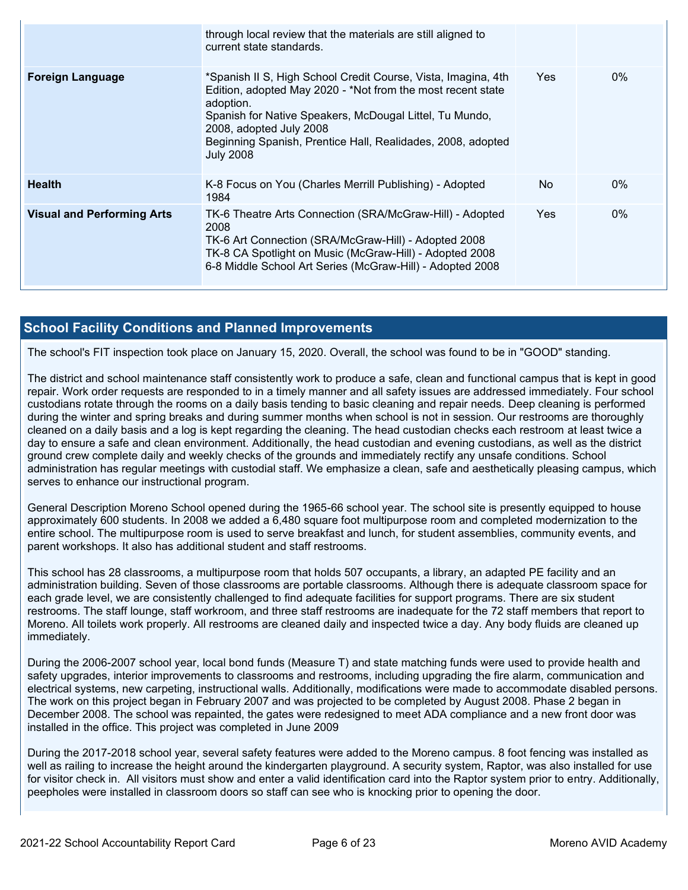|                                   | through local review that the materials are still aligned to<br>current state standards.                                                                                                                                                                                                                           |            |       |
|-----------------------------------|--------------------------------------------------------------------------------------------------------------------------------------------------------------------------------------------------------------------------------------------------------------------------------------------------------------------|------------|-------|
| <b>Foreign Language</b>           | *Spanish II S, High School Credit Course, Vista, Imagina, 4th<br>Edition, adopted May 2020 - *Not from the most recent state<br>adoption.<br>Spanish for Native Speakers, McDougal Littel, Tu Mundo,<br>2008, adopted July 2008<br>Beginning Spanish, Prentice Hall, Realidades, 2008, adopted<br><b>July 2008</b> | <b>Yes</b> | $0\%$ |
| <b>Health</b>                     | K-8 Focus on You (Charles Merrill Publishing) - Adopted<br>1984                                                                                                                                                                                                                                                    | No         | $0\%$ |
| <b>Visual and Performing Arts</b> | TK-6 Theatre Arts Connection (SRA/McGraw-Hill) - Adopted<br>2008<br>TK-6 Art Connection (SRA/McGraw-Hill) - Adopted 2008<br>TK-8 CA Spotlight on Music (McGraw-Hill) - Adopted 2008<br>6-8 Middle School Art Series (McGraw-Hill) - Adopted 2008                                                                   | Yes.       | $0\%$ |

#### **School Facility Conditions and Planned Improvements**

The school's FIT inspection took place on January 15, 2020. Overall, the school was found to be in "GOOD" standing.

The district and school maintenance staff consistently work to produce a safe, clean and functional campus that is kept in good repair. Work order requests are responded to in a timely manner and all safety issues are addressed immediately. Four school custodians rotate through the rooms on a daily basis tending to basic cleaning and repair needs. Deep cleaning is performed during the winter and spring breaks and during summer months when school is not in session. Our restrooms are thoroughly cleaned on a daily basis and a log is kept regarding the cleaning. The head custodian checks each restroom at least twice a day to ensure a safe and clean environment. Additionally, the head custodian and evening custodians, as well as the district ground crew complete daily and weekly checks of the grounds and immediately rectify any unsafe conditions. School administration has regular meetings with custodial staff. We emphasize a clean, safe and aesthetically pleasing campus, which serves to enhance our instructional program.

General Description Moreno School opened during the 1965-66 school year. The school site is presently equipped to house approximately 600 students. In 2008 we added a 6,480 square foot multipurpose room and completed modernization to the entire school. The multipurpose room is used to serve breakfast and lunch, for student assemblies, community events, and parent workshops. It also has additional student and staff restrooms.

This school has 28 classrooms, a multipurpose room that holds 507 occupants, a library, an adapted PE facility and an administration building. Seven of those classrooms are portable classrooms. Although there is adequate classroom space for each grade level, we are consistently challenged to find adequate facilities for support programs. There are six student restrooms. The staff lounge, staff workroom, and three staff restrooms are inadequate for the 72 staff members that report to Moreno. All toilets work properly. All restrooms are cleaned daily and inspected twice a day. Any body fluids are cleaned up immediately.

During the 2006-2007 school year, local bond funds (Measure T) and state matching funds were used to provide health and safety upgrades, interior improvements to classrooms and restrooms, including upgrading the fire alarm, communication and electrical systems, new carpeting, instructional walls. Additionally, modifications were made to accommodate disabled persons. The work on this project began in February 2007 and was projected to be completed by August 2008. Phase 2 began in December 2008. The school was repainted, the gates were redesigned to meet ADA compliance and a new front door was installed in the office. This project was completed in June 2009

During the 2017-2018 school year, several safety features were added to the Moreno campus. 8 foot fencing was installed as well as railing to increase the height around the kindergarten playground. A security system, Raptor, was also installed for use for visitor check in. All visitors must show and enter a valid identification card into the Raptor system prior to entry. Additionally, peepholes were installed in classroom doors so staff can see who is knocking prior to opening the door.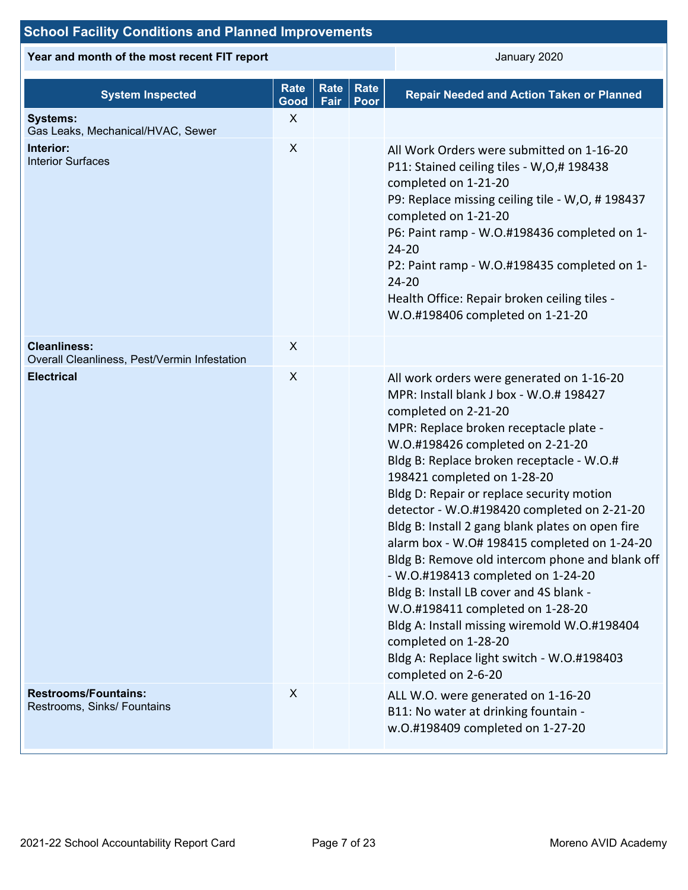# **School Facility Conditions and Planned Improvements**

**Year and month of the most recent FIT report CONSUMERY 2020** January 2020

| <b>System Inspected</b>                                             | <b>Rate</b><br>Good | Rate<br>Fair | <b>Rate</b><br>Poor | <b>Repair Needed and Action Taken or Planned</b>                                                                                                                                                                                                                                                                                                                                                                                                                                                                                                                                                                                                                                                                                                                                            |
|---------------------------------------------------------------------|---------------------|--------------|---------------------|---------------------------------------------------------------------------------------------------------------------------------------------------------------------------------------------------------------------------------------------------------------------------------------------------------------------------------------------------------------------------------------------------------------------------------------------------------------------------------------------------------------------------------------------------------------------------------------------------------------------------------------------------------------------------------------------------------------------------------------------------------------------------------------------|
| <b>Systems:</b><br>Gas Leaks, Mechanical/HVAC, Sewer                | X                   |              |                     |                                                                                                                                                                                                                                                                                                                                                                                                                                                                                                                                                                                                                                                                                                                                                                                             |
| Interior:<br><b>Interior Surfaces</b>                               | $\boldsymbol{X}$    |              |                     | All Work Orders were submitted on 1-16-20<br>P11: Stained ceiling tiles - W, O, #198438<br>completed on 1-21-20<br>P9: Replace missing ceiling tile - W,O, #198437<br>completed on 1-21-20<br>P6: Paint ramp - W.O.#198436 completed on 1-<br>$24 - 20$<br>P2: Paint ramp - W.O.#198435 completed on 1-<br>$24 - 20$<br>Health Office: Repair broken ceiling tiles -<br>W.O.#198406 completed on 1-21-20                                                                                                                                                                                                                                                                                                                                                                                    |
| <b>Cleanliness:</b><br>Overall Cleanliness, Pest/Vermin Infestation | X                   |              |                     |                                                                                                                                                                                                                                                                                                                                                                                                                                                                                                                                                                                                                                                                                                                                                                                             |
| <b>Electrical</b>                                                   | $\boldsymbol{X}$    |              |                     | All work orders were generated on 1-16-20<br>MPR: Install blank J box - W.O.# 198427<br>completed on 2-21-20<br>MPR: Replace broken receptacle plate -<br>W.O.#198426 completed on 2-21-20<br>Bldg B: Replace broken receptacle - W.O.#<br>198421 completed on 1-28-20<br>Bldg D: Repair or replace security motion<br>detector - W.O.#198420 completed on 2-21-20<br>Bldg B: Install 2 gang blank plates on open fire<br>alarm box - W.O# 198415 completed on 1-24-20<br>Bldg B: Remove old intercom phone and blank off<br>- W.O.#198413 completed on 1-24-20<br>Bldg B: Install LB cover and 4S blank -<br>W.O.#198411 completed on 1-28-20<br>Bldg A: Install missing wiremold W.O.#198404<br>completed on 1-28-20<br>Bldg A: Replace light switch - W.O.#198403<br>completed on 2-6-20 |
| <b>Restrooms/Fountains:</b><br>Restrooms, Sinks/ Fountains          | X                   |              |                     | ALL W.O. were generated on 1-16-20<br>B11: No water at drinking fountain -<br>w.O.#198409 completed on 1-27-20                                                                                                                                                                                                                                                                                                                                                                                                                                                                                                                                                                                                                                                                              |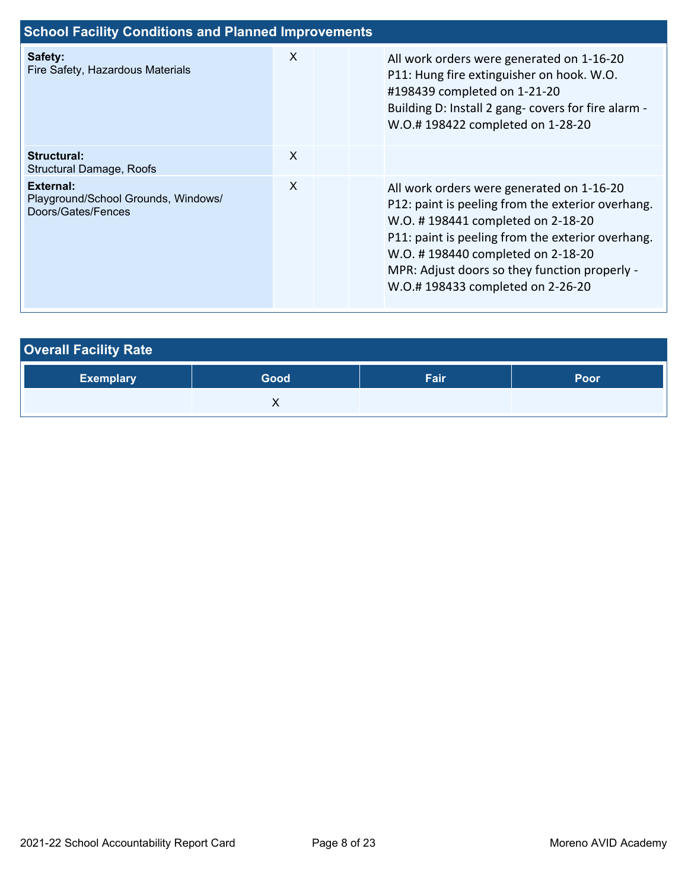| <b>School Facility Conditions and Planned Improvements</b>             |   |  |                                                                                                                                                                                                                                                                                                                    |
|------------------------------------------------------------------------|---|--|--------------------------------------------------------------------------------------------------------------------------------------------------------------------------------------------------------------------------------------------------------------------------------------------------------------------|
| Safety:<br>Fire Safety, Hazardous Materials                            | X |  | All work orders were generated on 1-16-20<br>P11: Hung fire extinguisher on hook. W.O.<br>#198439 completed on 1-21-20<br>Building D: Install 2 gang- covers for fire alarm -<br>W.O.#198422 completed on 1-28-20                                                                                                  |
| Structural:<br>Structural Damage, Roofs                                | X |  |                                                                                                                                                                                                                                                                                                                    |
| External:<br>Playground/School Grounds, Windows/<br>Doors/Gates/Fences | X |  | All work orders were generated on 1-16-20<br>P12: paint is peeling from the exterior overhang.<br>W.O. #198441 completed on 2-18-20<br>P11: paint is peeling from the exterior overhang.<br>W.O. #198440 completed on 2-18-20<br>MPR: Adjust doors so they function properly -<br>W.O.#198433 completed on 2-26-20 |

| <b>Overall Facility Rate</b> |      |      |      |  |  |  |  |  |
|------------------------------|------|------|------|--|--|--|--|--|
| <b>Exemplary</b>             | Good | Fair | Poor |  |  |  |  |  |
|                              |      |      |      |  |  |  |  |  |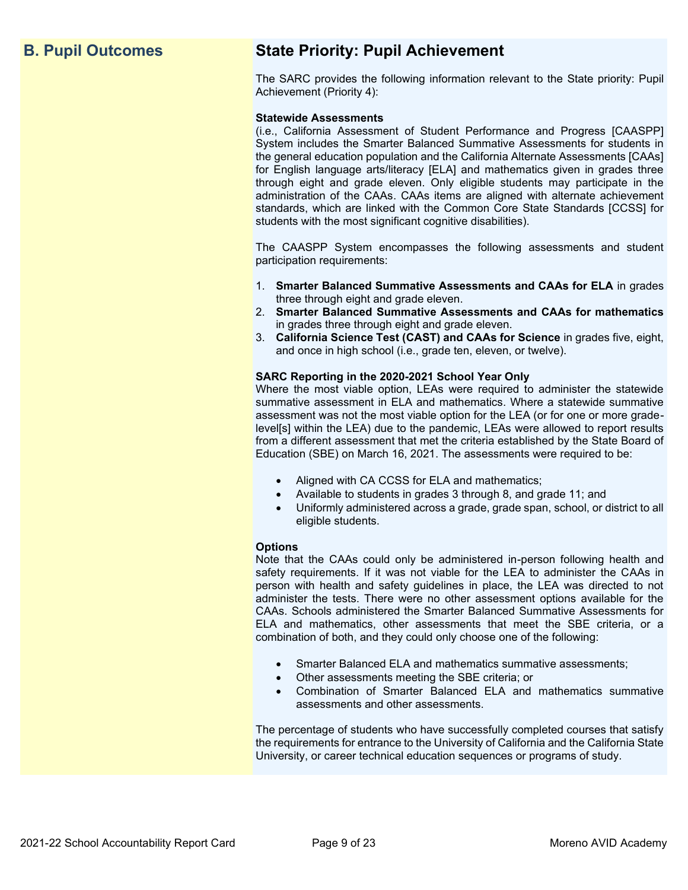# **B. Pupil Outcomes State Priority: Pupil Achievement**

The SARC provides the following information relevant to the State priority: Pupil Achievement (Priority 4):

#### **Statewide Assessments**

(i.e., California Assessment of Student Performance and Progress [CAASPP] System includes the Smarter Balanced Summative Assessments for students in the general education population and the California Alternate Assessments [CAAs] for English language arts/literacy [ELA] and mathematics given in grades three through eight and grade eleven. Only eligible students may participate in the administration of the CAAs. CAAs items are aligned with alternate achievement standards, which are linked with the Common Core State Standards [CCSS] for students with the most significant cognitive disabilities).

The CAASPP System encompasses the following assessments and student participation requirements:

- 1. **Smarter Balanced Summative Assessments and CAAs for ELA** in grades three through eight and grade eleven.
- 2. **Smarter Balanced Summative Assessments and CAAs for mathematics** in grades three through eight and grade eleven.
- 3. **California Science Test (CAST) and CAAs for Science** in grades five, eight, and once in high school (i.e., grade ten, eleven, or twelve).

#### **SARC Reporting in the 2020-2021 School Year Only**

Where the most viable option, LEAs were required to administer the statewide summative assessment in ELA and mathematics. Where a statewide summative assessment was not the most viable option for the LEA (or for one or more gradelevel[s] within the LEA) due to the pandemic, LEAs were allowed to report results from a different assessment that met the criteria established by the State Board of Education (SBE) on March 16, 2021. The assessments were required to be:

- Aligned with CA CCSS for ELA and mathematics;
- Available to students in grades 3 through 8, and grade 11; and
- Uniformly administered across a grade, grade span, school, or district to all eligible students.

#### **Options**

Note that the CAAs could only be administered in-person following health and safety requirements. If it was not viable for the LEA to administer the CAAs in person with health and safety guidelines in place, the LEA was directed to not administer the tests. There were no other assessment options available for the CAAs. Schools administered the Smarter Balanced Summative Assessments for ELA and mathematics, other assessments that meet the SBE criteria, or a combination of both, and they could only choose one of the following:

- Smarter Balanced ELA and mathematics summative assessments;
- Other assessments meeting the SBE criteria; or
- Combination of Smarter Balanced ELA and mathematics summative assessments and other assessments.

The percentage of students who have successfully completed courses that satisfy the requirements for entrance to the University of California and the California State University, or career technical education sequences or programs of study.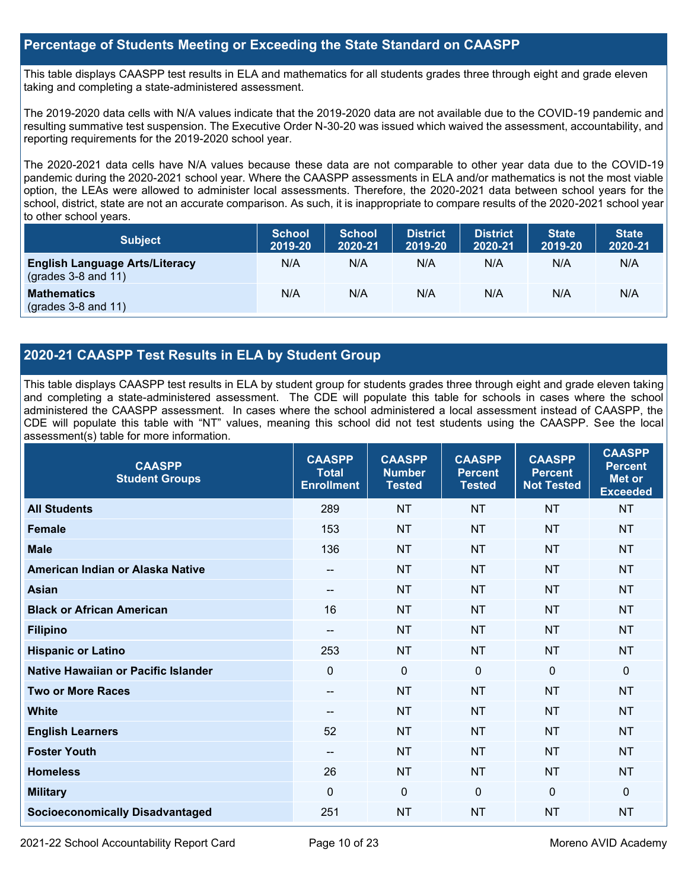#### **Percentage of Students Meeting or Exceeding the State Standard on CAASPP**

This table displays CAASPP test results in ELA and mathematics for all students grades three through eight and grade eleven taking and completing a state-administered assessment.

The 2019-2020 data cells with N/A values indicate that the 2019-2020 data are not available due to the COVID-19 pandemic and resulting summative test suspension. The Executive Order N-30-20 was issued which waived the assessment, accountability, and reporting requirements for the 2019-2020 school year.

The 2020-2021 data cells have N/A values because these data are not comparable to other year data due to the COVID-19 pandemic during the 2020-2021 school year. Where the CAASPP assessments in ELA and/or mathematics is not the most viable option, the LEAs were allowed to administer local assessments. Therefore, the 2020-2021 data between school years for the school, district, state are not an accurate comparison. As such, it is inappropriate to compare results of the 2020-2021 school year to other school years.

| <b>Subject</b>                                                       | <b>School</b><br>2019-20 | <b>School</b><br>2020-21 | <b>District</b><br>2019-20 | <b>District</b><br>2020-21 | <b>State</b><br>2019-20 | <b>State</b><br>2020-21 |
|----------------------------------------------------------------------|--------------------------|--------------------------|----------------------------|----------------------------|-------------------------|-------------------------|
| <b>English Language Arts/Literacy</b><br>$\left($ grades 3-8 and 11) | N/A                      | N/A                      | N/A                        | N/A                        | N/A                     | N/A                     |
| <b>Mathematics</b><br>$(grades 3-8 and 11)$                          | N/A                      | N/A                      | N/A                        | N/A                        | N/A                     | N/A                     |

#### **2020-21 CAASPP Test Results in ELA by Student Group**

This table displays CAASPP test results in ELA by student group for students grades three through eight and grade eleven taking and completing a state-administered assessment. The CDE will populate this table for schools in cases where the school administered the CAASPP assessment. In cases where the school administered a local assessment instead of CAASPP, the CDE will populate this table with "NT" values, meaning this school did not test students using the CAASPP. See the local assessment(s) table for more information.

| <b>CAASPP</b><br><b>Student Groups</b> | <b>CAASPP</b><br><b>Total</b><br><b>Enrollment</b> | <b>CAASPP</b><br><b>Number</b><br><b>Tested</b> | <b>CAASPP</b><br><b>Percent</b><br><b>Tested</b> | <b>CAASPP</b><br><b>Percent</b><br><b>Not Tested</b> | <b>CAASPP</b><br><b>Percent</b><br><b>Met or</b><br><b>Exceeded</b> |
|----------------------------------------|----------------------------------------------------|-------------------------------------------------|--------------------------------------------------|------------------------------------------------------|---------------------------------------------------------------------|
| <b>All Students</b>                    | 289                                                | <b>NT</b>                                       | <b>NT</b>                                        | <b>NT</b>                                            | <b>NT</b>                                                           |
| <b>Female</b>                          | 153                                                | <b>NT</b>                                       | <b>NT</b>                                        | <b>NT</b>                                            | <b>NT</b>                                                           |
| <b>Male</b>                            | 136                                                | <b>NT</b>                                       | <b>NT</b>                                        | <b>NT</b>                                            | <b>NT</b>                                                           |
| American Indian or Alaska Native       | --                                                 | <b>NT</b>                                       | <b>NT</b>                                        | <b>NT</b>                                            | <b>NT</b>                                                           |
| <b>Asian</b>                           | --                                                 | <b>NT</b>                                       | <b>NT</b>                                        | <b>NT</b>                                            | <b>NT</b>                                                           |
| <b>Black or African American</b>       | 16                                                 | <b>NT</b>                                       | <b>NT</b>                                        | <b>NT</b>                                            | <b>NT</b>                                                           |
| <b>Filipino</b>                        | $\qquad \qquad -$                                  | <b>NT</b>                                       | <b>NT</b>                                        | <b>NT</b>                                            | <b>NT</b>                                                           |
| <b>Hispanic or Latino</b>              | 253                                                | <b>NT</b>                                       | <b>NT</b>                                        | <b>NT</b>                                            | <b>NT</b>                                                           |
| Native Hawaiian or Pacific Islander    | $\mathbf 0$                                        | $\mathbf 0$                                     | $\mathbf 0$                                      | $\mathbf 0$                                          | $\Omega$                                                            |
| <b>Two or More Races</b>               | --                                                 | <b>NT</b>                                       | <b>NT</b>                                        | <b>NT</b>                                            | <b>NT</b>                                                           |
| <b>White</b>                           | --                                                 | <b>NT</b>                                       | <b>NT</b>                                        | <b>NT</b>                                            | <b>NT</b>                                                           |
| <b>English Learners</b>                | 52                                                 | <b>NT</b>                                       | <b>NT</b>                                        | <b>NT</b>                                            | <b>NT</b>                                                           |
| <b>Foster Youth</b>                    | $\qquad \qquad -$                                  | <b>NT</b>                                       | <b>NT</b>                                        | <b>NT</b>                                            | <b>NT</b>                                                           |
| <b>Homeless</b>                        | 26                                                 | <b>NT</b>                                       | <b>NT</b>                                        | <b>NT</b>                                            | NT                                                                  |
| <b>Military</b>                        | $\Omega$                                           | $\mathbf 0$                                     | $\Omega$                                         | $\mathbf 0$                                          | $\mathbf{0}$                                                        |
| <b>Socioeconomically Disadvantaged</b> | 251                                                | <b>NT</b>                                       | <b>NT</b>                                        | <b>NT</b>                                            | <b>NT</b>                                                           |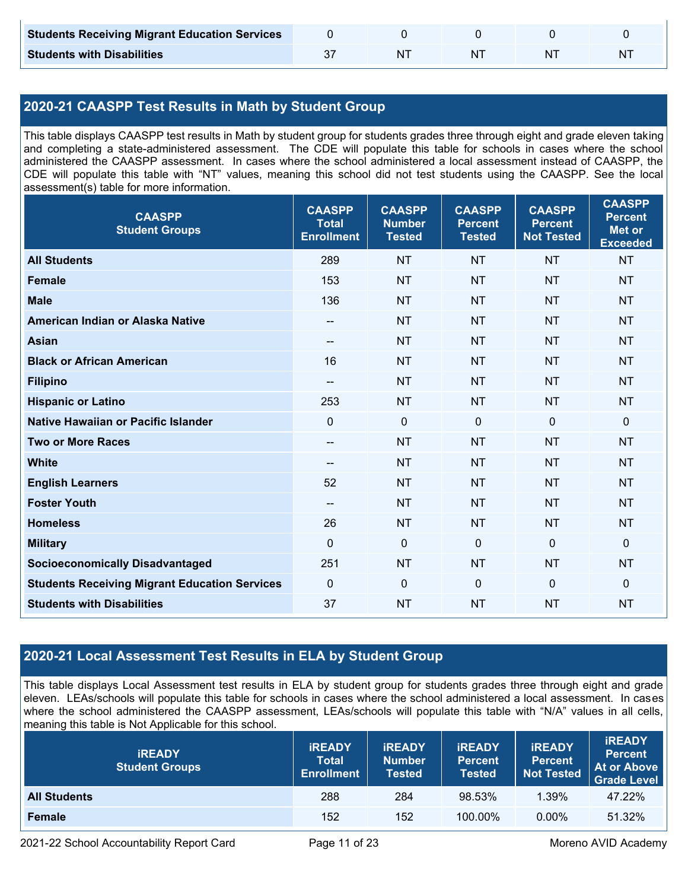| <b>Students Receiving Migrant Education Services</b> |  |    |   |
|------------------------------------------------------|--|----|---|
| <b>Students with Disabilities</b>                    |  | ΝI | N |

### **2020-21 CAASPP Test Results in Math by Student Group**

This table displays CAASPP test results in Math by student group for students grades three through eight and grade eleven taking and completing a state-administered assessment. The CDE will populate this table for schools in cases where the school administered the CAASPP assessment. In cases where the school administered a local assessment instead of CAASPP, the CDE will populate this table with "NT" values, meaning this school did not test students using the CAASPP. See the local assessment(s) table for more information.

| <b>CAASPP</b><br><b>Student Groups</b>               | <b>CAASPP</b><br><b>Total</b><br><b>Enrollment</b> | <b>CAASPP</b><br><b>Number</b><br><b>Tested</b> | <b>CAASPP</b><br><b>Percent</b><br><b>Tested</b> | <b>CAASPP</b><br><b>Percent</b><br><b>Not Tested</b> | <b>CAASPP</b><br><b>Percent</b><br><b>Met or</b><br><b>Exceeded</b> |
|------------------------------------------------------|----------------------------------------------------|-------------------------------------------------|--------------------------------------------------|------------------------------------------------------|---------------------------------------------------------------------|
| <b>All Students</b>                                  | 289                                                | <b>NT</b>                                       | <b>NT</b>                                        | <b>NT</b>                                            | <b>NT</b>                                                           |
| <b>Female</b>                                        | 153                                                | <b>NT</b>                                       | <b>NT</b>                                        | <b>NT</b>                                            | <b>NT</b>                                                           |
| <b>Male</b>                                          | 136                                                | <b>NT</b>                                       | <b>NT</b>                                        | <b>NT</b>                                            | <b>NT</b>                                                           |
| American Indian or Alaska Native                     | --                                                 | <b>NT</b>                                       | <b>NT</b>                                        | <b>NT</b>                                            | <b>NT</b>                                                           |
| <b>Asian</b>                                         | --                                                 | <b>NT</b>                                       | <b>NT</b>                                        | <b>NT</b>                                            | <b>NT</b>                                                           |
| <b>Black or African American</b>                     | 16                                                 | <b>NT</b>                                       | <b>NT</b>                                        | <b>NT</b>                                            | <b>NT</b>                                                           |
| <b>Filipino</b>                                      | $\overline{\phantom{a}}$                           | <b>NT</b>                                       | <b>NT</b>                                        | <b>NT</b>                                            | <b>NT</b>                                                           |
| <b>Hispanic or Latino</b>                            | 253                                                | <b>NT</b>                                       | <b>NT</b>                                        | <b>NT</b>                                            | <b>NT</b>                                                           |
| <b>Native Hawaiian or Pacific Islander</b>           | $\mathbf{0}$                                       | $\mathbf 0$                                     | $\mathbf 0$                                      | $\mathbf 0$                                          | $\mathbf 0$                                                         |
| <b>Two or More Races</b>                             | $\overline{\phantom{a}}$                           | <b>NT</b>                                       | <b>NT</b>                                        | <b>NT</b>                                            | <b>NT</b>                                                           |
| <b>White</b>                                         | $\hspace{0.05cm}$ – $\hspace{0.05cm}$              | <b>NT</b>                                       | <b>NT</b>                                        | <b>NT</b>                                            | <b>NT</b>                                                           |
| <b>English Learners</b>                              | 52                                                 | <b>NT</b>                                       | <b>NT</b>                                        | <b>NT</b>                                            | <b>NT</b>                                                           |
| <b>Foster Youth</b>                                  | $\overline{\phantom{a}}$                           | <b>NT</b>                                       | <b>NT</b>                                        | <b>NT</b>                                            | <b>NT</b>                                                           |
| <b>Homeless</b>                                      | 26                                                 | <b>NT</b>                                       | <b>NT</b>                                        | <b>NT</b>                                            | <b>NT</b>                                                           |
| <b>Military</b>                                      | $\mathbf{0}$                                       | $\mathbf 0$                                     | $\mathbf 0$                                      | $\mathbf 0$                                          | $\mathbf 0$                                                         |
| <b>Socioeconomically Disadvantaged</b>               | 251                                                | <b>NT</b>                                       | <b>NT</b>                                        | <b>NT</b>                                            | <b>NT</b>                                                           |
| <b>Students Receiving Migrant Education Services</b> | $\mathbf 0$                                        | $\mathbf 0$                                     | $\mathbf 0$                                      | $\mathbf 0$                                          | $\mathbf 0$                                                         |
| <b>Students with Disabilities</b>                    | 37                                                 | <b>NT</b>                                       | <b>NT</b>                                        | <b>NT</b>                                            | <b>NT</b>                                                           |

### **2020-21 Local Assessment Test Results in ELA by Student Group**

This table displays Local Assessment test results in ELA by student group for students grades three through eight and grade eleven. LEAs/schools will populate this table for schools in cases where the school administered a local assessment. In cases where the school administered the CAASPP assessment, LEAs/schools will populate this table with "N/A" values in all cells, meaning this table is Not Applicable for this school.

| <b>IREADY</b><br><b>Student Groups</b> | <b>IREADY</b><br><b>Total</b><br><b>Enrollment</b> | <b>IREADY</b><br><b>Number</b><br><b>Tested</b> |         | <b>IREADY</b><br><b>Percent</b><br><b>Not Tested</b> | <b>IREADY</b><br><b>Percent</b><br>At or Above<br>Grade Level |
|----------------------------------------|----------------------------------------------------|-------------------------------------------------|---------|------------------------------------------------------|---------------------------------------------------------------|
| <b>All Students</b>                    | 288                                                | 284                                             | 98.53%  | $1.39\%$                                             | 47.22%                                                        |
| Female                                 | 152                                                | 152                                             | 100.00% | $0.00\%$                                             | 51.32%                                                        |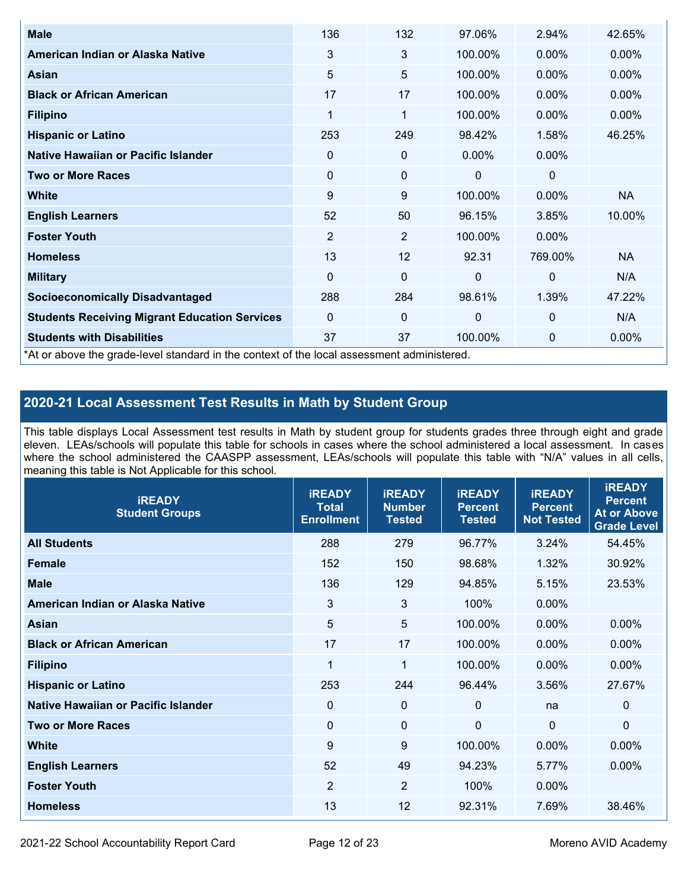| <b>Male</b>                                                                                | 136            | 132            | 97.06%       | 2.94%          | 42.65%    |
|--------------------------------------------------------------------------------------------|----------------|----------------|--------------|----------------|-----------|
| American Indian or Alaska Native                                                           | 3              | 3              | 100.00%      | $0.00\%$       | $0.00\%$  |
| <b>Asian</b>                                                                               | 5              | 5              | 100.00%      | $0.00\%$       | 0.00%     |
| <b>Black or African American</b>                                                           | 17             | 17             | 100.00%      | $0.00\%$       | $0.00\%$  |
| <b>Filipino</b>                                                                            | 1              | 1              | 100.00%      | $0.00\%$       | 0.00%     |
| <b>Hispanic or Latino</b>                                                                  | 253            | 249            | 98.42%       | 1.58%          | 46.25%    |
| Native Hawaiian or Pacific Islander                                                        | 0              | 0              | $0.00\%$     | $0.00\%$       |           |
| <b>Two or More Races</b>                                                                   | $\mathbf 0$    | 0              | 0            | 0              |           |
| White                                                                                      | 9              | 9              | 100.00%      | $0.00\%$       | <b>NA</b> |
| <b>English Learners</b>                                                                    | 52             | 50             | 96.15%       | 3.85%          | 10.00%    |
| <b>Foster Youth</b>                                                                        | $\overline{2}$ | $\overline{2}$ | 100.00%      | $0.00\%$       |           |
| <b>Homeless</b>                                                                            | 13             | 12             | 92.31        | 769.00%        | <b>NA</b> |
| <b>Military</b>                                                                            | $\mathbf 0$    | $\mathbf 0$    | $\mathbf{0}$ | $\overline{0}$ | N/A       |
| <b>Socioeconomically Disadvantaged</b>                                                     | 288            | 284            | 98.61%       | 1.39%          | 47.22%    |
| <b>Students Receiving Migrant Education Services</b>                                       | $\Omega$       | 0              | $\mathbf{0}$ | $\mathbf{0}$   | N/A       |
| <b>Students with Disabilities</b>                                                          | 37             | 37             | 100.00%      | 0              | 0.00%     |
| *At or above the grade-level standard in the context of the local assessment administered. |                |                |              |                |           |

### **2020-21 Local Assessment Test Results in Math by Student Group**

This table displays Local Assessment test results in Math by student group for students grades three through eight and grade eleven. LEAs/schools will populate this table for schools in cases where the school administered a local assessment. In cases where the school administered the CAASPP assessment, LEAs/schools will populate this table with "N/A" values in all cells, meaning this table is Not Applicable for this school.

| <b>IREADY</b><br><b>Student Groups</b> | <b>IREADY</b><br><b>Total</b><br><b>Enrollment</b> | <b>IREADY</b><br><b>Number</b><br><b>Tested</b> | <b>IREADY</b><br><b>Percent</b><br><b>Tested</b> | <b>IREADY</b><br><b>Percent</b><br><b>Not Tested</b> | <b>IREADY</b><br><b>Percent</b><br><b>At or Above</b><br><b>Grade Level</b> |
|----------------------------------------|----------------------------------------------------|-------------------------------------------------|--------------------------------------------------|------------------------------------------------------|-----------------------------------------------------------------------------|
| <b>All Students</b>                    | 288                                                | 279                                             | 96.77%                                           | 3.24%                                                | 54.45%                                                                      |
| <b>Female</b>                          | 152                                                | 150                                             | 98.68%                                           | 1.32%                                                | 30.92%                                                                      |
| <b>Male</b>                            | 136                                                | 129                                             | 94.85%                                           | 5.15%                                                | 23.53%                                                                      |
| American Indian or Alaska Native       | $\mathfrak{B}$                                     | 3                                               | 100%                                             | 0.00%                                                |                                                                             |
| Asian                                  | 5                                                  | 5                                               | 100.00%                                          | 0.00%                                                | 0.00%                                                                       |
| <b>Black or African American</b>       | 17                                                 | 17                                              | 100.00%                                          | 0.00%                                                | 0.00%                                                                       |
| <b>Filipino</b>                        | 1                                                  | 1                                               | 100.00%                                          | 0.00%                                                | $0.00\%$                                                                    |
| <b>Hispanic or Latino</b>              | 253                                                | 244                                             | 96.44%                                           | 3.56%                                                | 27.67%                                                                      |
| Native Hawaiian or Pacific Islander    | 0                                                  | $\mathbf 0$                                     | $\mathbf{0}$                                     | na                                                   | 0                                                                           |
| <b>Two or More Races</b>               | $\Omega$                                           | $\mathbf 0$                                     | $\Omega$                                         | $\mathbf 0$                                          | $\Omega$                                                                    |
| <b>White</b>                           | 9                                                  | 9                                               | 100.00%                                          | 0.00%                                                | $0.00\%$                                                                    |
| <b>English Learners</b>                | 52                                                 | 49                                              | 94.23%                                           | 5.77%                                                | 0.00%                                                                       |
| <b>Foster Youth</b>                    | $\overline{2}$                                     | $\overline{2}$                                  | 100%                                             | 0.00%                                                |                                                                             |
| <b>Homeless</b>                        | 13                                                 | 12                                              | 92.31%                                           | 7.69%                                                | 38.46%                                                                      |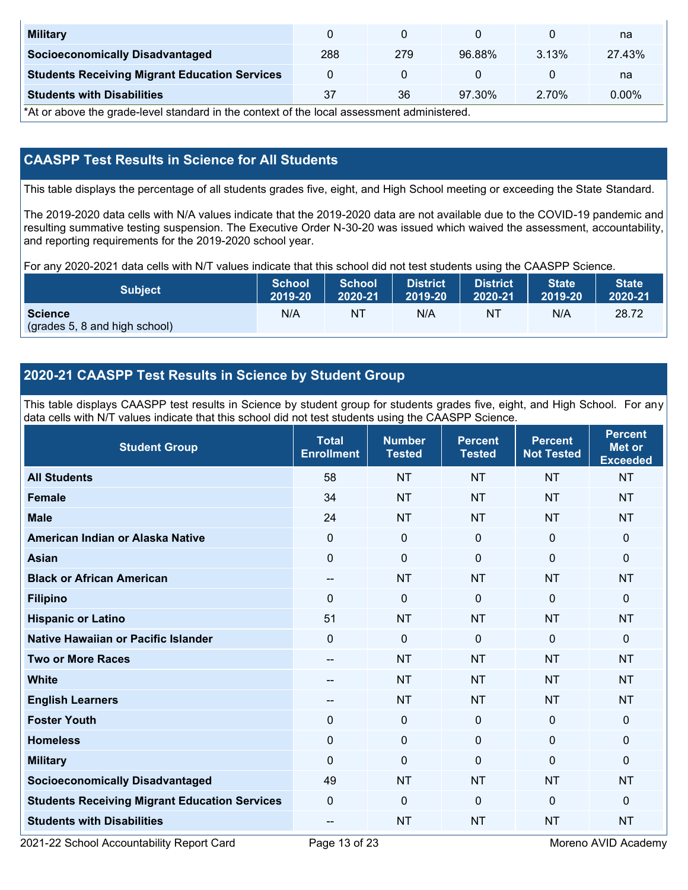| <b>Military</b>                                      |     |     |        |       | na     |
|------------------------------------------------------|-----|-----|--------|-------|--------|
| <b>Socioeconomically Disadvantaged</b>               | 288 | 279 | 96.88% | 3.13% | 27.43% |
| <b>Students Receiving Migrant Education Services</b> |     |     |        |       | na     |
| <b>Students with Disabilities</b>                    | 37  | 36  | 97.30% | 2.70% | 0.00%  |

\*At or above the grade-level standard in the context of the local assessment administered.

#### **CAASPP Test Results in Science for All Students**

This table displays the percentage of all students grades five, eight, and High School meeting or exceeding the State Standard.

The 2019-2020 data cells with N/A values indicate that the 2019-2020 data are not available due to the COVID-19 pandemic and resulting summative testing suspension. The Executive Order N-30-20 was issued which waived the assessment, accountability, and reporting requirements for the 2019-2020 school year.

For any 2020-2021 data cells with N/T values indicate that this school did not test students using the CAASPP Science.

| <b>Subject</b>                                  | <b>School</b> | <b>School</b> | <b>District</b> | <b>District</b> | <b>State</b> | <b>State</b> |
|-------------------------------------------------|---------------|---------------|-----------------|-----------------|--------------|--------------|
|                                                 | 2019-20       | 2020-21       | 2019-20         | 2020-21         | 2019-20      | 2020-21      |
| <b>Science</b><br>(grades 5, 8 and high school) | N/A           | ΝT            | N/A             | N1              | N/A          | 28.72        |

#### **2020-21 CAASPP Test Results in Science by Student Group**

This table displays CAASPP test results in Science by student group for students grades five, eight, and High School. For any data cells with N/T values indicate that this school did not test students using the CAASPP Science.

| <b>Student Group</b>                                 | <b>Total</b><br><b>Enrollment</b> | <b>Number</b><br><b>Tested</b> | <b>Percent</b><br><b>Tested</b> | <b>Percent</b><br><b>Not Tested</b> | <b>Percent</b><br><b>Met or</b><br><b>Exceeded</b> |
|------------------------------------------------------|-----------------------------------|--------------------------------|---------------------------------|-------------------------------------|----------------------------------------------------|
| <b>All Students</b>                                  | 58                                | <b>NT</b>                      | <b>NT</b>                       | <b>NT</b>                           | <b>NT</b>                                          |
| <b>Female</b>                                        | 34                                | <b>NT</b>                      | <b>NT</b>                       | <b>NT</b>                           | <b>NT</b>                                          |
| <b>Male</b>                                          | 24                                | <b>NT</b>                      | <b>NT</b>                       | <b>NT</b>                           | <b>NT</b>                                          |
| American Indian or Alaska Native                     | $\mathbf{0}$                      | $\mathbf 0$                    | $\mathbf 0$                     | $\overline{0}$                      | $\mathbf{0}$                                       |
| <b>Asian</b>                                         | $\mathbf 0$                       | $\mathbf 0$                    | $\mathbf 0$                     | $\mathbf 0$                         | 0                                                  |
| <b>Black or African American</b>                     | --                                | <b>NT</b>                      | <b>NT</b>                       | <b>NT</b>                           | <b>NT</b>                                          |
| <b>Filipino</b>                                      | $\mathbf{0}$                      | $\mathbf 0$                    | $\mathbf{0}$                    | $\mathbf{0}$                        | $\mathbf 0$                                        |
| <b>Hispanic or Latino</b>                            | 51                                | <b>NT</b>                      | <b>NT</b>                       | <b>NT</b>                           | <b>NT</b>                                          |
| <b>Native Hawaiian or Pacific Islander</b>           | $\mathbf{0}$                      | $\mathbf 0$                    | $\mathbf 0$                     | $\mathbf 0$                         | 0                                                  |
| <b>Two or More Races</b>                             | --                                | <b>NT</b>                      | <b>NT</b>                       | <b>NT</b>                           | <b>NT</b>                                          |
| <b>White</b>                                         | --                                | <b>NT</b>                      | <b>NT</b>                       | <b>NT</b>                           | <b>NT</b>                                          |
| <b>English Learners</b>                              | --                                | <b>NT</b>                      | <b>NT</b>                       | <b>NT</b>                           | <b>NT</b>                                          |
| <b>Foster Youth</b>                                  | $\mathbf{0}$                      | $\mathbf 0$                    | $\mathbf 0$                     | $\mathbf 0$                         | $\mathbf 0$                                        |
| <b>Homeless</b>                                      | $\mathbf 0$                       | $\mathbf 0$                    | $\mathbf{0}$                    | $\mathbf{0}$                        | $\mathbf 0$                                        |
| <b>Military</b>                                      | $\Omega$                          | $\mathbf 0$                    | $\mathbf{0}$                    | $\overline{0}$                      | $\mathbf{0}$                                       |
| <b>Socioeconomically Disadvantaged</b>               | 49                                | <b>NT</b>                      | <b>NT</b>                       | <b>NT</b>                           | <b>NT</b>                                          |
| <b>Students Receiving Migrant Education Services</b> | $\mathbf{0}$                      | $\mathbf 0$                    | $\Omega$                        | $\mathbf{0}$                        | $\Omega$                                           |
| <b>Students with Disabilities</b>                    | $\qquad \qquad -$                 | <b>NT</b>                      | <b>NT</b>                       | <b>NT</b>                           | <b>NT</b>                                          |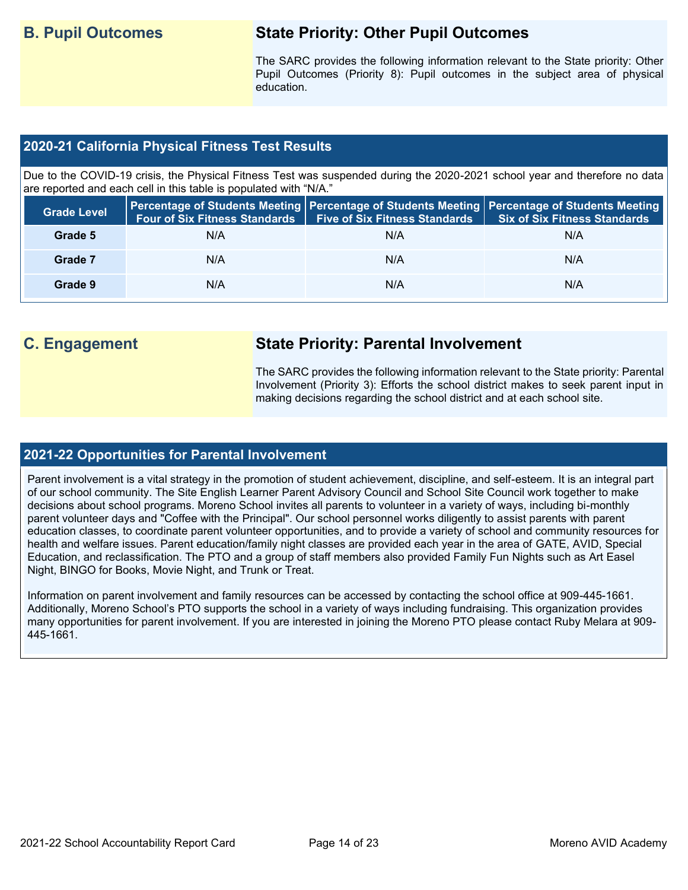# **B. Pupil Outcomes State Priority: Other Pupil Outcomes**

The SARC provides the following information relevant to the State priority: Other Pupil Outcomes (Priority 8): Pupil outcomes in the subject area of physical education.

#### **2020-21 California Physical Fitness Test Results**

Due to the COVID-19 crisis, the Physical Fitness Test was suspended during the 2020-2021 school year and therefore no data are reported and each cell in this table is populated with "N/A."

| <b>Grade Level</b> | <b>Four of Six Fitness Standards</b> | <b>Five of Six Fitness Standards</b> | Percentage of Students Meeting   Percentage of Students Meeting   Percentage of Students Meeting<br><b>Six of Six Fitness Standards</b> |
|--------------------|--------------------------------------|--------------------------------------|-----------------------------------------------------------------------------------------------------------------------------------------|
| Grade 5            | N/A                                  | N/A                                  | N/A                                                                                                                                     |
| Grade 7            | N/A                                  | N/A                                  | N/A                                                                                                                                     |
| Grade 9            | N/A                                  | N/A                                  | N/A                                                                                                                                     |

# **C. Engagement State Priority: Parental Involvement**

The SARC provides the following information relevant to the State priority: Parental Involvement (Priority 3): Efforts the school district makes to seek parent input in making decisions regarding the school district and at each school site.

#### **2021-22 Opportunities for Parental Involvement**

Parent involvement is a vital strategy in the promotion of student achievement, discipline, and self-esteem. It is an integral part of our school community. The Site English Learner Parent Advisory Council and School Site Council work together to make decisions about school programs. Moreno School invites all parents to volunteer in a variety of ways, including bi-monthly parent volunteer days and "Coffee with the Principal". Our school personnel works diligently to assist parents with parent education classes, to coordinate parent volunteer opportunities, and to provide a variety of school and community resources for health and welfare issues. Parent education/family night classes are provided each year in the area of GATE, AVID, Special Education, and reclassification. The PTO and a group of staff members also provided Family Fun Nights such as Art Easel Night, BINGO for Books, Movie Night, and Trunk or Treat.

Information on parent involvement and family resources can be accessed by contacting the school office at 909-445-1661. Additionally, Moreno School's PTO supports the school in a variety of ways including fundraising. This organization provides many opportunities for parent involvement. If you are interested in joining the Moreno PTO please contact Ruby Melara at 909- 445-1661.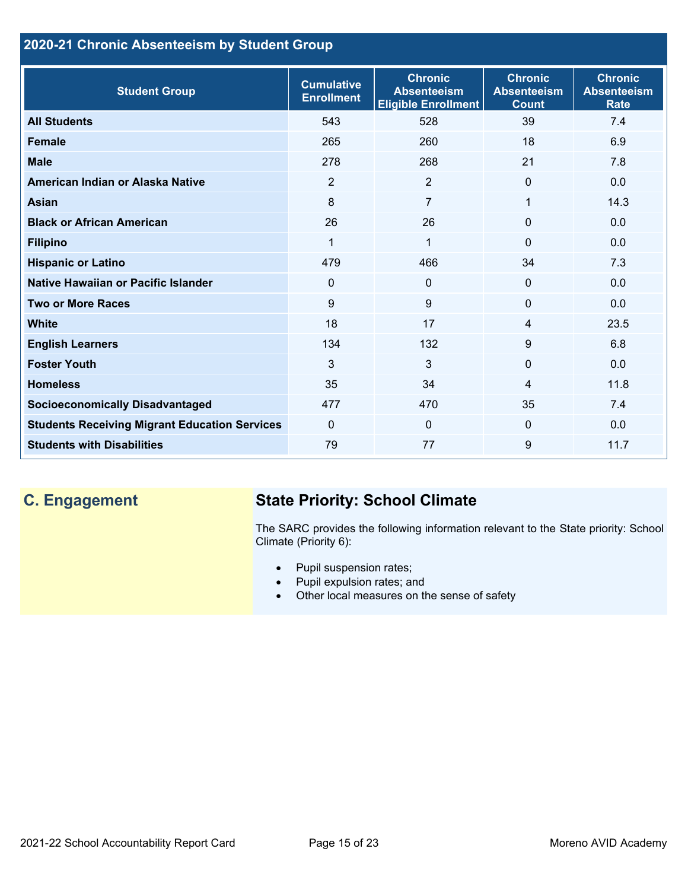### **2020-21 Chronic Absenteeism by Student Group**

| <b>Student Group</b>                                 | <b>Cumulative</b><br><b>Enrollment</b> | <b>Chronic</b><br><b>Absenteeism</b><br><b>Eligible Enrollment</b> | <b>Chronic</b><br><b>Absenteeism</b><br><b>Count</b> | <b>Chronic</b><br><b>Absenteeism</b><br><b>Rate</b> |
|------------------------------------------------------|----------------------------------------|--------------------------------------------------------------------|------------------------------------------------------|-----------------------------------------------------|
| <b>All Students</b>                                  | 543                                    | 528                                                                | 39                                                   | 7.4                                                 |
| <b>Female</b>                                        | 265                                    | 260                                                                | 18                                                   | 6.9                                                 |
| <b>Male</b>                                          | 278                                    | 268                                                                | 21                                                   | 7.8                                                 |
| American Indian or Alaska Native                     | 2                                      | 2                                                                  | $\Omega$                                             | 0.0                                                 |
| <b>Asian</b>                                         | 8                                      | $\overline{7}$                                                     | 1                                                    | 14.3                                                |
| <b>Black or African American</b>                     | 26                                     | 26                                                                 | $\mathbf{0}$                                         | 0.0                                                 |
| <b>Filipino</b>                                      | 1                                      | $\mathbf{1}$                                                       | $\mathbf{0}$                                         | 0.0                                                 |
| <b>Hispanic or Latino</b>                            | 479                                    | 466                                                                | 34                                                   | 7.3                                                 |
| Native Hawaiian or Pacific Islander                  | $\Omega$                               | $\mathbf 0$                                                        | $\mathbf 0$                                          | 0.0                                                 |
| <b>Two or More Races</b>                             | 9                                      | 9                                                                  | $\mathbf{0}$                                         | 0.0                                                 |
| <b>White</b>                                         | 18                                     | 17                                                                 | 4                                                    | 23.5                                                |
| <b>English Learners</b>                              | 134                                    | 132                                                                | 9                                                    | 6.8                                                 |
| <b>Foster Youth</b>                                  | 3                                      | 3                                                                  | $\Omega$                                             | 0.0                                                 |
| <b>Homeless</b>                                      | 35                                     | 34                                                                 | 4                                                    | 11.8                                                |
| <b>Socioeconomically Disadvantaged</b>               | 477                                    | 470                                                                | 35                                                   | 7.4                                                 |
| <b>Students Receiving Migrant Education Services</b> | $\mathbf{0}$                           | $\mathbf{0}$                                                       | $\Omega$                                             | 0.0                                                 |
| <b>Students with Disabilities</b>                    | 79                                     | 77                                                                 | 9                                                    | 11.7                                                |

# **C. Engagement State Priority: School Climate**

The SARC provides the following information relevant to the State priority: School Climate (Priority 6):

- Pupil suspension rates;
- Pupil expulsion rates; and
- Other local measures on the sense of safety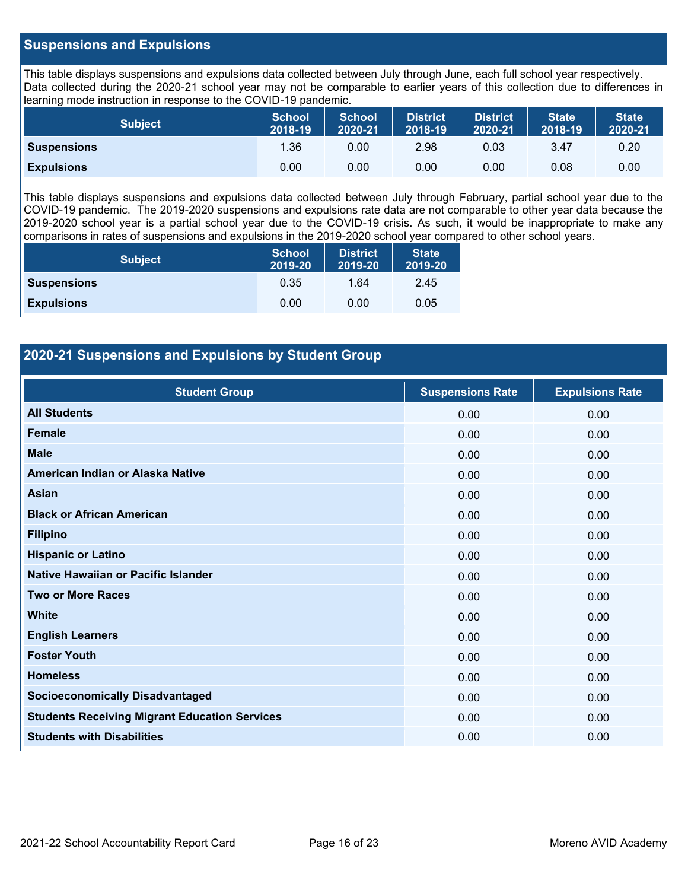#### **Suspensions and Expulsions**

This table displays suspensions and expulsions data collected between July through June, each full school year respectively. Data collected during the 2020-21 school year may not be comparable to earlier years of this collection due to differences in learning mode instruction in response to the COVID-19 pandemic.

| Subject            | <b>School</b><br>2018-19 | <b>School</b><br>2020-21 | <b>District</b><br>2018-19 | <b>District</b><br>2020-21 | <b>State</b><br>2018-19 | <b>State</b><br>2020-21 |
|--------------------|--------------------------|--------------------------|----------------------------|----------------------------|-------------------------|-------------------------|
| <b>Suspensions</b> | 1.36                     | 0.00                     | 2.98                       | 0.03                       | 3.47                    | 0.20                    |
| <b>Expulsions</b>  | 0.00                     | 0.00                     | 0.00                       | 0.00                       | 0.08                    | 0.00                    |

This table displays suspensions and expulsions data collected between July through February, partial school year due to the COVID-19 pandemic. The 2019-2020 suspensions and expulsions rate data are not comparable to other year data because the 2019-2020 school year is a partial school year due to the COVID-19 crisis. As such, it would be inappropriate to make any comparisons in rates of suspensions and expulsions in the 2019-2020 school year compared to other school years.

| <b>Subject</b>     | <b>School</b><br>2019-20 | <b>District</b><br>2019-20 | <b>State</b><br>2019-20 |
|--------------------|--------------------------|----------------------------|-------------------------|
| <b>Suspensions</b> | 0.35                     | 1.64                       | 2.45                    |
| <b>Expulsions</b>  | 0.00                     | 0.00                       | 0.05                    |

#### **2020-21 Suspensions and Expulsions by Student Group**

| <b>Student Group</b>                                 | <b>Suspensions Rate</b> | <b>Expulsions Rate</b> |
|------------------------------------------------------|-------------------------|------------------------|
| <b>All Students</b>                                  | 0.00                    | 0.00                   |
| <b>Female</b>                                        | 0.00                    | 0.00                   |
| <b>Male</b>                                          | 0.00                    | 0.00                   |
| American Indian or Alaska Native                     | 0.00                    | 0.00                   |
| <b>Asian</b>                                         | 0.00                    | 0.00                   |
| <b>Black or African American</b>                     | 0.00                    | 0.00                   |
| <b>Filipino</b>                                      | 0.00                    | 0.00                   |
| <b>Hispanic or Latino</b>                            | 0.00                    | 0.00                   |
| Native Hawaiian or Pacific Islander                  | 0.00                    | 0.00                   |
| <b>Two or More Races</b>                             | 0.00                    | 0.00                   |
| <b>White</b>                                         | 0.00                    | 0.00                   |
| <b>English Learners</b>                              | 0.00                    | 0.00                   |
| <b>Foster Youth</b>                                  | 0.00                    | 0.00                   |
| <b>Homeless</b>                                      | 0.00                    | 0.00                   |
| <b>Socioeconomically Disadvantaged</b>               | 0.00                    | 0.00                   |
| <b>Students Receiving Migrant Education Services</b> | 0.00                    | 0.00                   |
| <b>Students with Disabilities</b>                    | 0.00                    | 0.00                   |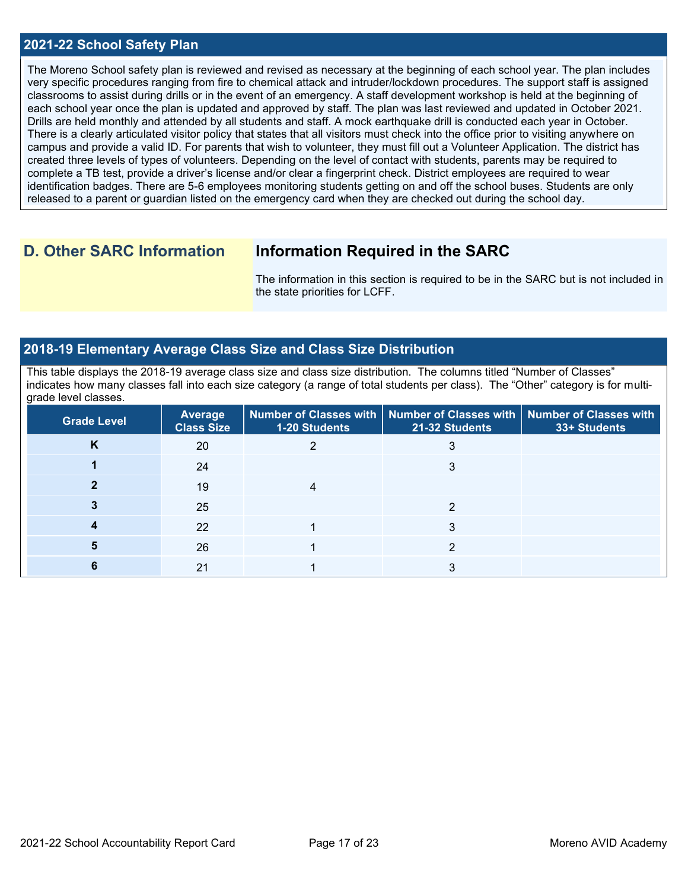#### **2021-22 School Safety Plan**

The Moreno School safety plan is reviewed and revised as necessary at the beginning of each school year. The plan includes very specific procedures ranging from fire to chemical attack and intruder/lockdown procedures. The support staff is assigned classrooms to assist during drills or in the event of an emergency. A staff development workshop is held at the beginning of each school year once the plan is updated and approved by staff. The plan was last reviewed and updated in October 2021. Drills are held monthly and attended by all students and staff. A mock earthquake drill is conducted each year in October. There is a clearly articulated visitor policy that states that all visitors must check into the office prior to visiting anywhere on campus and provide a valid ID. For parents that wish to volunteer, they must fill out a Volunteer Application. The district has created three levels of types of volunteers. Depending on the level of contact with students, parents may be required to complete a TB test, provide a driver's license and/or clear a fingerprint check. District employees are required to wear identification badges. There are 5-6 employees monitoring students getting on and off the school buses. Students are only released to a parent or guardian listed on the emergency card when they are checked out during the school day.

### **D. Other SARC Information Information Required in the SARC**

The information in this section is required to be in the SARC but is not included in the state priorities for LCFF.

#### **2018-19 Elementary Average Class Size and Class Size Distribution**

This table displays the 2018-19 average class size and class size distribution. The columns titled "Number of Classes" indicates how many classes fall into each size category (a range of total students per class). The "Other" category is for multigrade level classes.

| <b>Grade Level</b> | Average<br><b>Class Size</b> | <b>1-20 Students</b> | Number of Classes with   Number of Classes with  <br>21-32 Students | <b>Number of Classes with</b><br>33+ Students |
|--------------------|------------------------------|----------------------|---------------------------------------------------------------------|-----------------------------------------------|
| κ                  | 20                           |                      |                                                                     |                                               |
|                    | 24                           |                      |                                                                     |                                               |
|                    | 19                           |                      |                                                                     |                                               |
|                    | 25                           |                      |                                                                     |                                               |
|                    | 22                           |                      |                                                                     |                                               |
|                    | 26                           |                      |                                                                     |                                               |
|                    | 21                           |                      |                                                                     |                                               |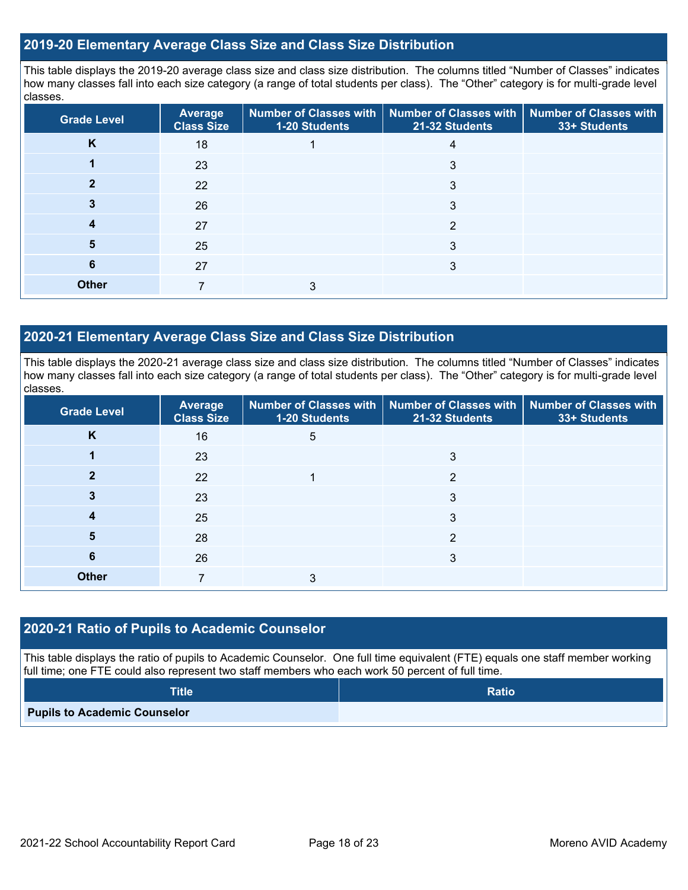#### **2019-20 Elementary Average Class Size and Class Size Distribution**

This table displays the 2019-20 average class size and class size distribution. The columns titled "Number of Classes" indicates how many classes fall into each size category (a range of total students per class). The "Other" category is for multi-grade level classes.

| <b>Grade Level</b> | <b>Average</b><br><b>Class Size</b> | Number of Classes with<br>1-20 Students | <b>Number of Classes with</b><br>21-32 Students | <b>Number of Classes with</b><br>33+ Students |
|--------------------|-------------------------------------|-----------------------------------------|-------------------------------------------------|-----------------------------------------------|
| K                  | 18                                  |                                         | 4                                               |                                               |
|                    | 23                                  |                                         | 3                                               |                                               |
|                    | 22                                  |                                         | 3                                               |                                               |
| 3                  | 26                                  |                                         | 3                                               |                                               |
| 4                  | 27                                  |                                         | 2                                               |                                               |
| 5                  | 25                                  |                                         | 3                                               |                                               |
| 6                  | 27                                  |                                         | 3                                               |                                               |
| <b>Other</b>       |                                     | 3                                       |                                                 |                                               |

#### **2020-21 Elementary Average Class Size and Class Size Distribution**

This table displays the 2020-21 average class size and class size distribution. The columns titled "Number of Classes" indicates how many classes fall into each size category (a range of total students per class). The "Other" category is for multi-grade level classes.

| <b>Grade Level</b> | <b>Average</b><br><b>Class Size</b> | 1-20 Students | Number of Classes with   Number of Classes with  <br>21-32 Students | Number of Classes with<br>33+ Students |
|--------------------|-------------------------------------|---------------|---------------------------------------------------------------------|----------------------------------------|
| K                  | 16                                  | 5             |                                                                     |                                        |
|                    | 23                                  |               | 3                                                                   |                                        |
| 2                  | 22                                  |               | 2                                                                   |                                        |
|                    | 23                                  |               | 3                                                                   |                                        |
| 4                  | 25                                  |               | 3                                                                   |                                        |
| 5                  | 28                                  |               | 2                                                                   |                                        |
| 6                  | 26                                  |               | 3                                                                   |                                        |
| <b>Other</b>       |                                     | 3             |                                                                     |                                        |

#### **2020-21 Ratio of Pupils to Academic Counselor**

This table displays the ratio of pupils to Academic Counselor. One full time equivalent (FTE) equals one staff member working full time; one FTE could also represent two staff members who each work 50 percent of full time.

| <b>Title</b>                        | <b>Ratio</b> |
|-------------------------------------|--------------|
| <b>Pupils to Academic Counselor</b> |              |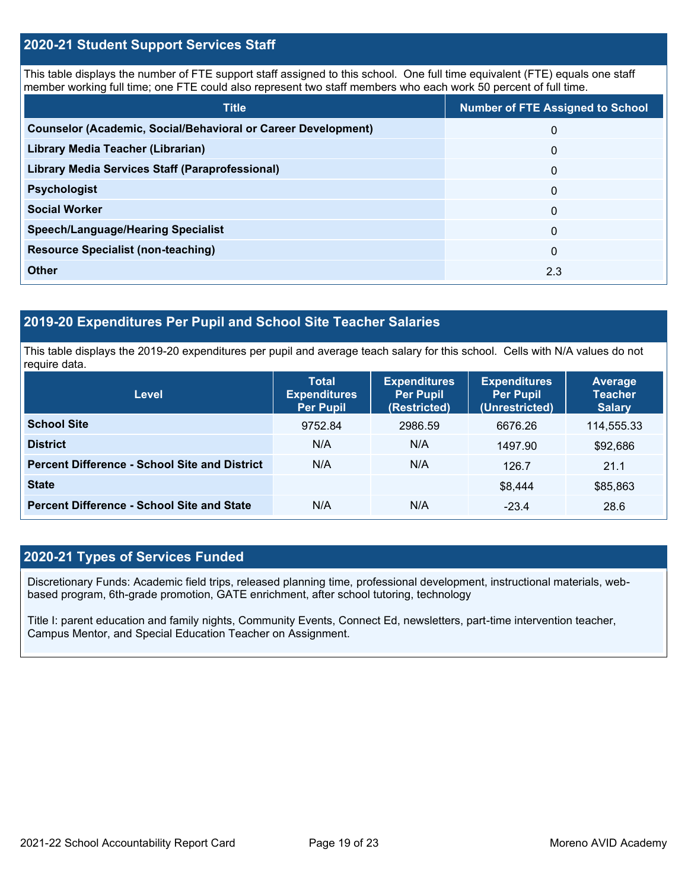#### **2020-21 Student Support Services Staff**

This table displays the number of FTE support staff assigned to this school. One full time equivalent (FTE) equals one staff member working full time; one FTE could also represent two staff members who each work 50 percent of full time.

| <b>Title</b>                                                         | <b>Number of FTE Assigned to School</b> |
|----------------------------------------------------------------------|-----------------------------------------|
| <b>Counselor (Academic, Social/Behavioral or Career Development)</b> | $\Omega$                                |
| Library Media Teacher (Librarian)                                    | $\mathbf{0}$                            |
| <b>Library Media Services Staff (Paraprofessional)</b>               | $\mathbf{0}$                            |
| <b>Psychologist</b>                                                  | $\mathbf{0}$                            |
| <b>Social Worker</b>                                                 | $\Omega$                                |
| <b>Speech/Language/Hearing Specialist</b>                            | $\Omega$                                |
| <b>Resource Specialist (non-teaching)</b>                            | $\Omega$                                |
| <b>Other</b>                                                         | 2.3                                     |

#### **2019-20 Expenditures Per Pupil and School Site Teacher Salaries**

This table displays the 2019-20 expenditures per pupil and average teach salary for this school. Cells with N/A values do not require data.

| <b>Level</b>                                         | <b>Total</b><br><b>Expenditures</b><br><b>Per Pupil</b> | <b>Expenditures</b><br><b>Per Pupil</b><br>(Restricted) | <b>Expenditures</b><br><b>Per Pupil</b><br>(Unrestricted) | <b>Average</b><br><b>Teacher</b><br><b>Salary</b> |
|------------------------------------------------------|---------------------------------------------------------|---------------------------------------------------------|-----------------------------------------------------------|---------------------------------------------------|
| <b>School Site</b>                                   | 9752.84                                                 | 2986.59                                                 | 6676.26                                                   | 114,555.33                                        |
| <b>District</b>                                      | N/A                                                     | N/A                                                     | 1497.90                                                   | \$92,686                                          |
| <b>Percent Difference - School Site and District</b> | N/A                                                     | N/A                                                     | 126.7                                                     | 21.1                                              |
| <b>State</b>                                         |                                                         |                                                         | \$8,444                                                   | \$85,863                                          |
| <b>Percent Difference - School Site and State</b>    | N/A                                                     | N/A                                                     | $-23.4$                                                   | 28.6                                              |

#### **2020-21 Types of Services Funded**

Discretionary Funds: Academic field trips, released planning time, professional development, instructional materials, webbased program, 6th-grade promotion, GATE enrichment, after school tutoring, technology

Title I: parent education and family nights, Community Events, Connect Ed, newsletters, part-time intervention teacher, Campus Mentor, and Special Education Teacher on Assignment.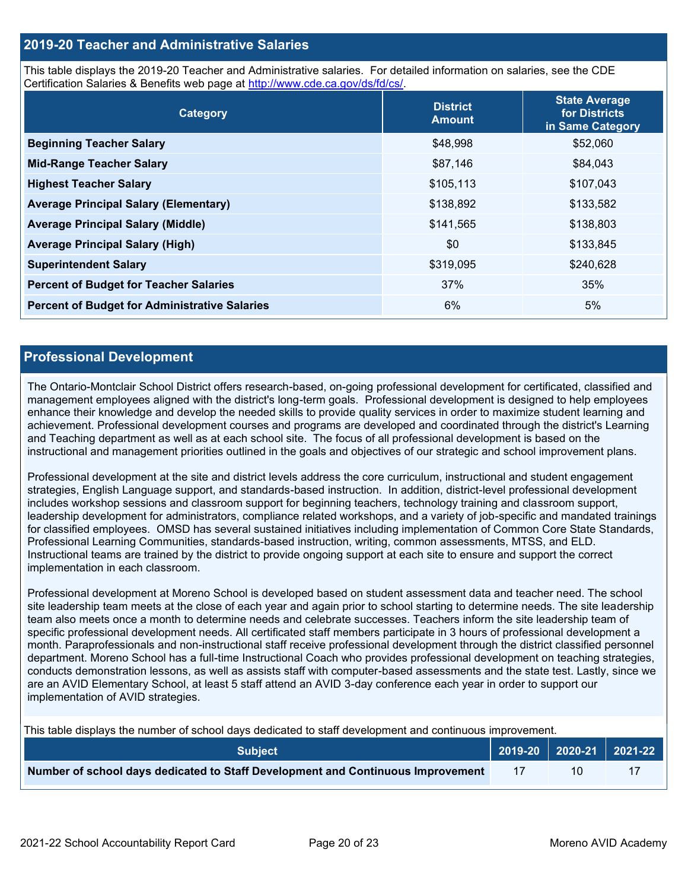#### **2019-20 Teacher and Administrative Salaries**

This table displays the 2019-20 Teacher and Administrative salaries. For detailed information on salaries, see the CDE Certification Salaries & Benefits web page at [http://www.cde.ca.gov/ds/fd/cs/.](http://www.cde.ca.gov/ds/fd/cs/)

| Category                                             | <b>District</b><br><b>Amount</b> | <b>State Average</b><br>for Districts<br>in Same Category |  |
|------------------------------------------------------|----------------------------------|-----------------------------------------------------------|--|
| <b>Beginning Teacher Salary</b>                      | \$48,998                         | \$52,060                                                  |  |
| <b>Mid-Range Teacher Salary</b>                      | \$87,146                         | \$84,043                                                  |  |
| <b>Highest Teacher Salary</b>                        | \$105,113                        | \$107,043                                                 |  |
| <b>Average Principal Salary (Elementary)</b>         | \$138,892                        | \$133,582                                                 |  |
| <b>Average Principal Salary (Middle)</b>             | \$141,565                        | \$138,803                                                 |  |
| <b>Average Principal Salary (High)</b>               | \$0                              | \$133,845                                                 |  |
| <b>Superintendent Salary</b>                         | \$319,095                        | \$240,628                                                 |  |
| <b>Percent of Budget for Teacher Salaries</b>        | 37%                              | 35%                                                       |  |
| <b>Percent of Budget for Administrative Salaries</b> | 6%                               | 5%                                                        |  |

#### **Professional Development**

The Ontario-Montclair School District offers research-based, on-going professional development for certificated, classified and management employees aligned with the district's long-term goals. Professional development is designed to help employees enhance their knowledge and develop the needed skills to provide quality services in order to maximize student learning and achievement. Professional development courses and programs are developed and coordinated through the district's Learning and Teaching department as well as at each school site. The focus of all professional development is based on the instructional and management priorities outlined in the goals and objectives of our strategic and school improvement plans.

Professional development at the site and district levels address the core curriculum, instructional and student engagement strategies, English Language support, and standards-based instruction. In addition, district-level professional development includes workshop sessions and classroom support for beginning teachers, technology training and classroom support, leadership development for administrators, compliance related workshops, and a variety of job-specific and mandated trainings for classified employees. OMSD has several sustained initiatives including implementation of Common Core State Standards, Professional Learning Communities, standards-based instruction, writing, common assessments, MTSS, and ELD. Instructional teams are trained by the district to provide ongoing support at each site to ensure and support the correct implementation in each classroom.

Professional development at Moreno School is developed based on student assessment data and teacher need. The school site leadership team meets at the close of each year and again prior to school starting to determine needs. The site leadership team also meets once a month to determine needs and celebrate successes. Teachers inform the site leadership team of specific professional development needs. All certificated staff members participate in 3 hours of professional development a month. Paraprofessionals and non-instructional staff receive professional development through the district classified personnel department. Moreno School has a full-time Instructional Coach who provides professional development on teaching strategies, conducts demonstration lessons, as well as assists staff with computer-based assessments and the state test. Lastly, since we are an AVID Elementary School, at least 5 staff attend an AVID 3-day conference each year in order to support our implementation of AVID strategies.

This table displays the number of school days dedicated to staff development and continuous improvement.

| <b>Subject</b>                                                                  | $\vert$ 2019-20 $\vert$ 2020-21 $\vert$ 2021-22 |  |
|---------------------------------------------------------------------------------|-------------------------------------------------|--|
| Number of school days dedicated to Staff Development and Continuous Improvement |                                                 |  |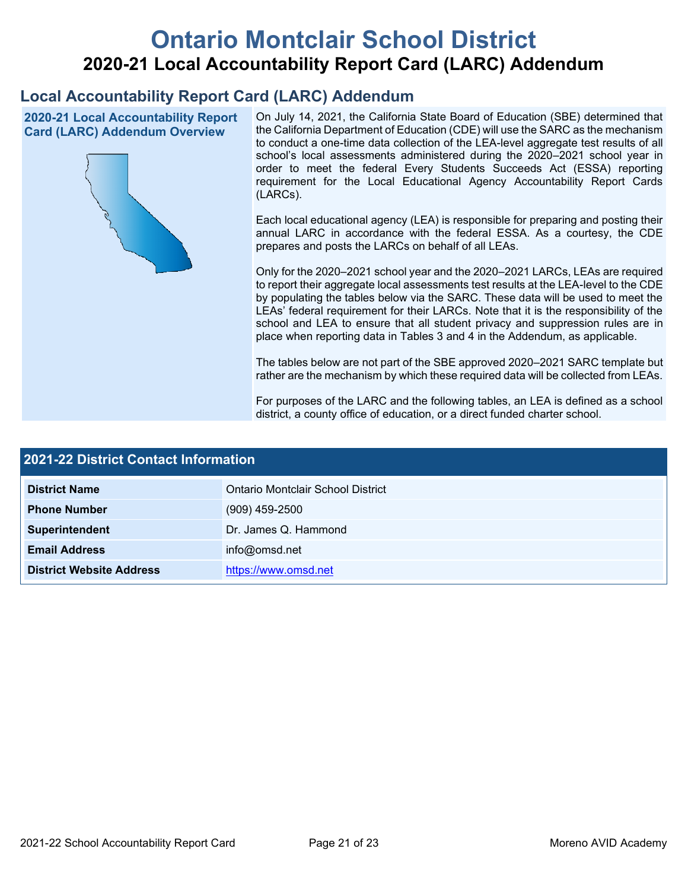# **Ontario Montclair School District 2020-21 Local Accountability Report Card (LARC) Addendum**

# **Local Accountability Report Card (LARC) Addendum**

**2020-21 Local Accountability Report Card (LARC) Addendum Overview**



On July 14, 2021, the California State Board of Education (SBE) determined that the California Department of Education (CDE) will use the SARC as the mechanism to conduct a one-time data collection of the LEA-level aggregate test results of all school's local assessments administered during the 2020–2021 school year in order to meet the federal Every Students Succeeds Act (ESSA) reporting requirement for the Local Educational Agency Accountability Report Cards (LARCs).

Each local educational agency (LEA) is responsible for preparing and posting their annual LARC in accordance with the federal ESSA. As a courtesy, the CDE prepares and posts the LARCs on behalf of all LEAs.

Only for the 2020–2021 school year and the 2020–2021 LARCs, LEAs are required to report their aggregate local assessments test results at the LEA-level to the CDE by populating the tables below via the SARC. These data will be used to meet the LEAs' federal requirement for their LARCs. Note that it is the responsibility of the school and LEA to ensure that all student privacy and suppression rules are in place when reporting data in Tables 3 and 4 in the Addendum, as applicable.

The tables below are not part of the SBE approved 2020–2021 SARC template but rather are the mechanism by which these required data will be collected from LEAs.

For purposes of the LARC and the following tables, an LEA is defined as a school district, a county office of education, or a direct funded charter school.

| 2021-22 District Contact Information |                                   |  |  |
|--------------------------------------|-----------------------------------|--|--|
| <b>District Name</b>                 | Ontario Montclair School District |  |  |
| <b>Phone Number</b>                  | $(909)$ 459-2500                  |  |  |
| Superintendent                       | Dr. James Q. Hammond              |  |  |
| <b>Email Address</b>                 | info@omsd.net                     |  |  |
| <b>District Website Address</b>      | https://www.omsd.net              |  |  |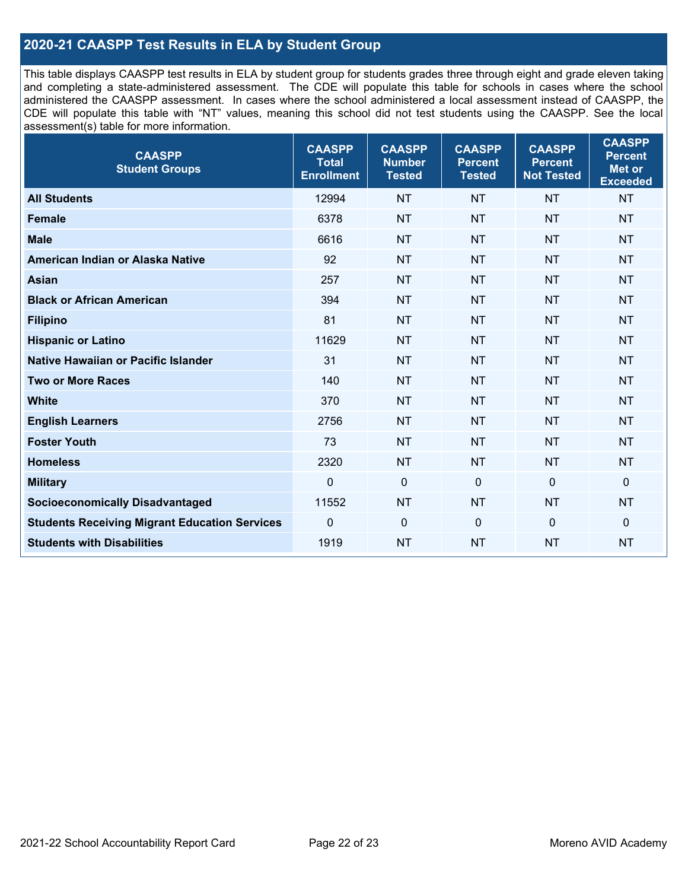#### **2020-21 CAASPP Test Results in ELA by Student Group**

This table displays CAASPP test results in ELA by student group for students grades three through eight and grade eleven taking and completing a state-administered assessment. The CDE will populate this table for schools in cases where the school administered the CAASPP assessment. In cases where the school administered a local assessment instead of CAASPP, the CDE will populate this table with "NT" values, meaning this school did not test students using the CAASPP. See the local assessment(s) table for more information.

| <b>CAASPP</b><br><b>Student Groups</b>               | <b>CAASPP</b><br><b>Total</b><br><b>Enrollment</b> | <b>CAASPP</b><br><b>Number</b><br><b>Tested</b> | <b>CAASPP</b><br><b>Percent</b><br><b>Tested</b> | <b>CAASPP</b><br><b>Percent</b><br><b>Not Tested</b> | <b>CAASPP</b><br><b>Percent</b><br>Met or<br><b>Exceeded</b> |
|------------------------------------------------------|----------------------------------------------------|-------------------------------------------------|--------------------------------------------------|------------------------------------------------------|--------------------------------------------------------------|
| <b>All Students</b>                                  | 12994                                              | <b>NT</b>                                       | <b>NT</b>                                        | <b>NT</b>                                            | <b>NT</b>                                                    |
| <b>Female</b>                                        | 6378                                               | <b>NT</b>                                       | <b>NT</b>                                        | <b>NT</b>                                            | <b>NT</b>                                                    |
| <b>Male</b>                                          | 6616                                               | <b>NT</b>                                       | <b>NT</b>                                        | <b>NT</b>                                            | <b>NT</b>                                                    |
| American Indian or Alaska Native                     | 92                                                 | <b>NT</b>                                       | <b>NT</b>                                        | <b>NT</b>                                            | <b>NT</b>                                                    |
| <b>Asian</b>                                         | 257                                                | <b>NT</b>                                       | <b>NT</b>                                        | <b>NT</b>                                            | <b>NT</b>                                                    |
| <b>Black or African American</b>                     | 394                                                | <b>NT</b>                                       | <b>NT</b>                                        | <b>NT</b>                                            | <b>NT</b>                                                    |
| <b>Filipino</b>                                      | 81                                                 | <b>NT</b>                                       | <b>NT</b>                                        | <b>NT</b>                                            | <b>NT</b>                                                    |
| <b>Hispanic or Latino</b>                            | 11629                                              | <b>NT</b>                                       | <b>NT</b>                                        | <b>NT</b>                                            | <b>NT</b>                                                    |
| <b>Native Hawaiian or Pacific Islander</b>           | 31                                                 | <b>NT</b>                                       | <b>NT</b>                                        | <b>NT</b>                                            | <b>NT</b>                                                    |
| <b>Two or More Races</b>                             | 140                                                | <b>NT</b>                                       | <b>NT</b>                                        | <b>NT</b>                                            | <b>NT</b>                                                    |
| <b>White</b>                                         | 370                                                | <b>NT</b>                                       | <b>NT</b>                                        | <b>NT</b>                                            | <b>NT</b>                                                    |
| <b>English Learners</b>                              | 2756                                               | <b>NT</b>                                       | <b>NT</b>                                        | <b>NT</b>                                            | <b>NT</b>                                                    |
| <b>Foster Youth</b>                                  | 73                                                 | <b>NT</b>                                       | <b>NT</b>                                        | <b>NT</b>                                            | <b>NT</b>                                                    |
| <b>Homeless</b>                                      | 2320                                               | <b>NT</b>                                       | <b>NT</b>                                        | <b>NT</b>                                            | <b>NT</b>                                                    |
| <b>Military</b>                                      | $\mathbf 0$                                        | $\mathbf 0$                                     | $\mathbf 0$                                      | $\mathbf 0$                                          | 0                                                            |
| <b>Socioeconomically Disadvantaged</b>               | 11552                                              | <b>NT</b>                                       | <b>NT</b>                                        | <b>NT</b>                                            | <b>NT</b>                                                    |
| <b>Students Receiving Migrant Education Services</b> | $\Omega$                                           | $\mathbf 0$                                     | $\mathbf{0}$                                     | $\Omega$                                             | 0                                                            |
| <b>Students with Disabilities</b>                    | 1919                                               | <b>NT</b>                                       | <b>NT</b>                                        | <b>NT</b>                                            | <b>NT</b>                                                    |